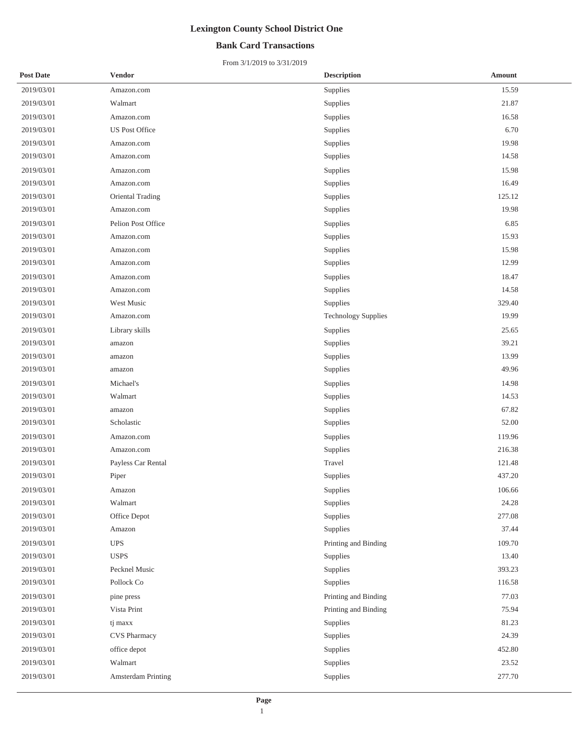## **Bank Card Transactions**

| <b>Post Date</b> | <b>Vendor</b>         | <b>Description</b>         | <b>Amount</b> |
|------------------|-----------------------|----------------------------|---------------|
| 2019/03/01       | Amazon.com            | Supplies                   | 15.59         |
| 2019/03/01       | Walmart               | Supplies                   | 21.87         |
| 2019/03/01       | Amazon.com            | Supplies                   | 16.58         |
| 2019/03/01       | <b>US Post Office</b> | Supplies                   | 6.70          |
| 2019/03/01       | Amazon.com            | Supplies                   | 19.98         |
| 2019/03/01       | Amazon.com            | Supplies                   | 14.58         |
| 2019/03/01       | Amazon.com            | Supplies                   | 15.98         |
| 2019/03/01       | Amazon.com            | Supplies                   | 16.49         |
| 2019/03/01       | Oriental Trading      | Supplies                   | 125.12        |
| 2019/03/01       | Amazon.com            | Supplies                   | 19.98         |
| 2019/03/01       | Pelion Post Office    | Supplies                   | 6.85          |
| 2019/03/01       | Amazon.com            | Supplies                   | 15.93         |
| 2019/03/01       | Amazon.com            | Supplies                   | 15.98         |
| 2019/03/01       | Amazon.com            | Supplies                   | 12.99         |
| 2019/03/01       | Amazon.com            | Supplies                   | 18.47         |
| 2019/03/01       | Amazon.com            | Supplies                   | 14.58         |
| 2019/03/01       | West Music            | Supplies                   | 329.40        |
| 2019/03/01       | Amazon.com            | <b>Technology Supplies</b> | 19.99         |
| 2019/03/01       | Library skills        | Supplies                   | 25.65         |
| 2019/03/01       | amazon                | Supplies                   | 39.21         |
| 2019/03/01       | amazon                | Supplies                   | 13.99         |
| 2019/03/01       | amazon                | Supplies                   | 49.96         |
| 2019/03/01       | Michael's             | Supplies                   | 14.98         |
| 2019/03/01       | Walmart               | Supplies                   | 14.53         |
| 2019/03/01       | amazon                | Supplies                   | 67.82         |
| 2019/03/01       | Scholastic            | Supplies                   | 52.00         |
| 2019/03/01       | Amazon.com            | Supplies                   | 119.96        |
| 2019/03/01       | Amazon.com            | Supplies                   | 216.38        |
| 2019/03/01       | Payless Car Rental    | Travel                     | 121.48        |
| 2019/03/01       | Piper                 | Supplies                   | 437.20        |
| 2019/03/01       | Amazon                | Supplies                   | 106.66        |
| 2019/03/01       | Walmart               | Supplies                   | 24.28         |
| 2019/03/01       | Office Depot          | Supplies                   | 277.08        |
| 2019/03/01       | Amazon                | Supplies                   | 37.44         |
| 2019/03/01       | <b>UPS</b>            | Printing and Binding       | 109.70        |
| 2019/03/01       | <b>USPS</b>           | Supplies                   | 13.40         |
| 2019/03/01       | Pecknel Music         | Supplies                   | 393.23        |
| 2019/03/01       | Pollock Co            | Supplies                   | 116.58        |
| 2019/03/01       | pine press            | Printing and Binding       | 77.03         |
| 2019/03/01       | Vista Print           | Printing and Binding       | 75.94         |
| 2019/03/01       | tj maxx               | Supplies                   | 81.23         |
| 2019/03/01       | <b>CVS Pharmacy</b>   | Supplies                   | 24.39         |
| 2019/03/01       | office depot          | Supplies                   | 452.80        |
| 2019/03/01       | Walmart               | Supplies                   | 23.52         |
| 2019/03/01       | Amsterdam Printing    | Supplies                   | 277.70        |
|                  |                       |                            |               |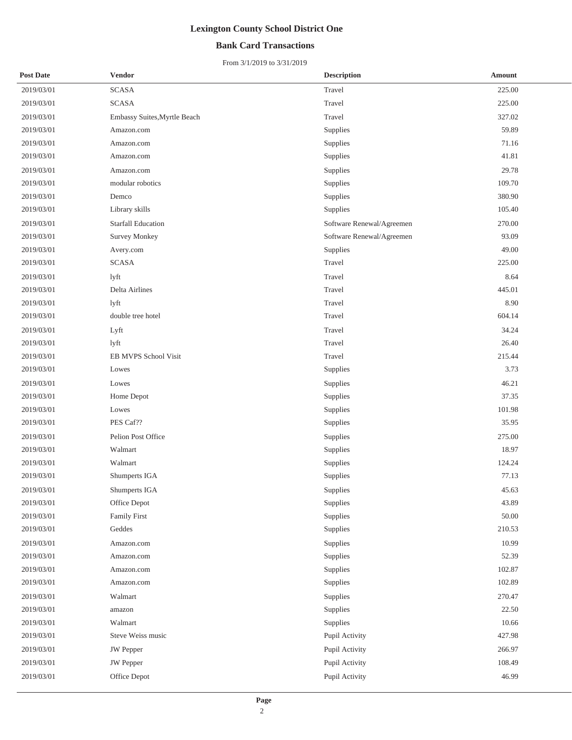## **Bank Card Transactions**

| <b>Post Date</b> | <b>Vendor</b>                | <b>Description</b>        | <b>Amount</b> |
|------------------|------------------------------|---------------------------|---------------|
| 2019/03/01       | <b>SCASA</b>                 | Travel                    | 225.00        |
| 2019/03/01       | <b>SCASA</b>                 | Travel                    | 225.00        |
| 2019/03/01       | Embassy Suites, Myrtle Beach | Travel                    | 327.02        |
| 2019/03/01       | Amazon.com                   | Supplies                  | 59.89         |
| 2019/03/01       | Amazon.com                   | Supplies                  | 71.16         |
| 2019/03/01       | Amazon.com                   | Supplies                  | 41.81         |
| 2019/03/01       | Amazon.com                   | Supplies                  | 29.78         |
| 2019/03/01       | modular robotics             | Supplies                  | 109.70        |
| 2019/03/01       | Demco                        | Supplies                  | 380.90        |
| 2019/03/01       | Library skills               | Supplies                  | 105.40        |
| 2019/03/01       | <b>Starfall Education</b>    | Software Renewal/Agreemen | 270.00        |
| 2019/03/01       | <b>Survey Monkey</b>         | Software Renewal/Agreemen | 93.09         |
| 2019/03/01       | Avery.com                    | Supplies                  | 49.00         |
| 2019/03/01       | <b>SCASA</b>                 | Travel                    | 225.00        |
| 2019/03/01       | lyft                         | Travel                    | 8.64          |
| 2019/03/01       | Delta Airlines               | Travel                    | 445.01        |
| 2019/03/01       | lyft                         | Travel                    | 8.90          |
| 2019/03/01       | double tree hotel            | Travel                    | 604.14        |
| 2019/03/01       | Lyft                         | Travel                    | 34.24         |
| 2019/03/01       | lyft                         | Travel                    | 26.40         |
| 2019/03/01       | EB MVPS School Visit         | Travel                    | 215.44        |
| 2019/03/01       | Lowes                        | Supplies                  | 3.73          |
| 2019/03/01       | Lowes                        | Supplies                  | 46.21         |
| 2019/03/01       | Home Depot                   | Supplies                  | 37.35         |
| 2019/03/01       | Lowes                        | Supplies                  | 101.98        |
| 2019/03/01       | PES Caf??                    | Supplies                  | 35.95         |
| 2019/03/01       | Pelion Post Office           | Supplies                  | 275.00        |
| 2019/03/01       | Walmart                      | Supplies                  | 18.97         |
| 2019/03/01       | Walmart                      | Supplies                  | 124.24        |
| 2019/03/01       | Shumperts IGA                | Supplies                  | 77.13         |
| 2019/03/01       | Shumperts IGA                | Supplies                  | 45.63         |
| 2019/03/01       | Office Depot                 | Supplies                  | 43.89         |
| 2019/03/01       | <b>Family First</b>          | Supplies                  | 50.00         |
| 2019/03/01       | Geddes                       | Supplies                  | 210.53        |
| 2019/03/01       | Amazon.com                   | Supplies                  | 10.99         |
| 2019/03/01       | Amazon.com                   | Supplies                  | 52.39         |
| 2019/03/01       | Amazon.com                   | Supplies                  | 102.87        |
| 2019/03/01       | Amazon.com                   | Supplies                  | 102.89        |
| 2019/03/01       | Walmart                      | Supplies                  | 270.47        |
| 2019/03/01       | amazon                       | Supplies                  | 22.50         |
| 2019/03/01       | Walmart                      | Supplies                  | 10.66         |
| 2019/03/01       | Steve Weiss music            | Pupil Activity            | 427.98        |
| 2019/03/01       | <b>JW</b> Pepper             | Pupil Activity            | 266.97        |
| 2019/03/01       | <b>JW</b> Pepper             | Pupil Activity            | 108.49        |
| 2019/03/01       | Office Depot                 | Pupil Activity            | 46.99         |
|                  |                              |                           |               |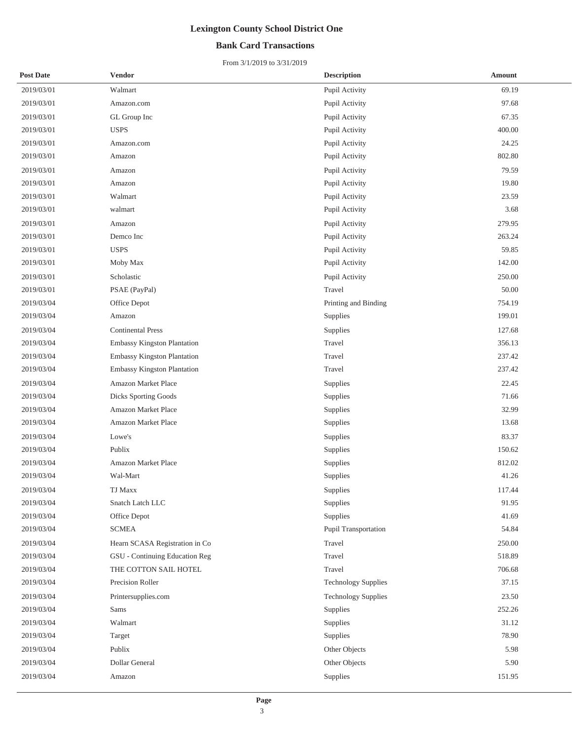## **Bank Card Transactions**

| <b>Post Date</b> | <b>Vendor</b>                   | <b>Description</b>         | Amount |
|------------------|---------------------------------|----------------------------|--------|
| 2019/03/01       | Walmart                         | Pupil Activity             | 69.19  |
| 2019/03/01       | Amazon.com                      | Pupil Activity             | 97.68  |
| 2019/03/01       | GL Group Inc                    | Pupil Activity             | 67.35  |
| 2019/03/01       | <b>USPS</b>                     | Pupil Activity             | 400.00 |
| 2019/03/01       | Amazon.com                      | Pupil Activity             | 24.25  |
| 2019/03/01       | Amazon                          | Pupil Activity             | 802.80 |
| 2019/03/01       | Amazon                          | Pupil Activity             | 79.59  |
| 2019/03/01       | Amazon                          | Pupil Activity             | 19.80  |
| 2019/03/01       | Walmart                         | Pupil Activity             | 23.59  |
| 2019/03/01       | walmart                         | Pupil Activity             | 3.68   |
| 2019/03/01       | Amazon                          | Pupil Activity             | 279.95 |
| 2019/03/01       | Demco Inc                       | Pupil Activity             | 263.24 |
| 2019/03/01       | <b>USPS</b>                     | Pupil Activity             | 59.85  |
| 2019/03/01       | Moby Max                        | Pupil Activity             | 142.00 |
| 2019/03/01       | Scholastic                      | Pupil Activity             | 250.00 |
| 2019/03/01       | PSAE (PayPal)                   | Travel                     | 50.00  |
| 2019/03/04       | Office Depot                    | Printing and Binding       | 754.19 |
| 2019/03/04       | Amazon                          | Supplies                   | 199.01 |
| 2019/03/04       | <b>Continental Press</b>        | Supplies                   | 127.68 |
| 2019/03/04       | Embassy Kingston Plantation     | Travel                     | 356.13 |
| 2019/03/04       | Embassy Kingston Plantation     | Travel                     | 237.42 |
| 2019/03/04       | Embassy Kingston Plantation     | Travel                     | 237.42 |
| 2019/03/04       | Amazon Market Place             | Supplies                   | 22.45  |
| 2019/03/04       | Dicks Sporting Goods            | <b>Supplies</b>            | 71.66  |
| 2019/03/04       | Amazon Market Place             | Supplies                   | 32.99  |
| 2019/03/04       | Amazon Market Place             | Supplies                   | 13.68  |
| 2019/03/04       | Lowe's                          | Supplies                   | 83.37  |
| 2019/03/04       | Publix                          | Supplies                   | 150.62 |
| 2019/03/04       | Amazon Market Place             | Supplies                   | 812.02 |
| 2019/03/04       | Wal-Mart                        | Supplies                   | 41.26  |
| 2019/03/04       | TJ Maxx                         | Supplies                   | 117.44 |
| 2019/03/04       | Snatch Latch LLC                | Supplies                   | 91.95  |
| 2019/03/04       | Office Depot                    | Supplies                   | 41.69  |
| 2019/03/04       | <b>SCMEA</b>                    | Pupil Transportation       | 54.84  |
| 2019/03/04       | Hearn SCASA Registration in Co. | Travel                     | 250.00 |
| 2019/03/04       | GSU - Continuing Education Reg  | Travel                     | 518.89 |
| 2019/03/04       | THE COTTON SAIL HOTEL           | Travel                     | 706.68 |
| 2019/03/04       | Precision Roller                | <b>Technology Supplies</b> | 37.15  |
| 2019/03/04       | Printersupplies.com             | <b>Technology Supplies</b> | 23.50  |
| 2019/03/04       | Sams                            | Supplies                   | 252.26 |
| 2019/03/04       | Walmart                         | Supplies                   | 31.12  |
| 2019/03/04       | Target                          | Supplies                   | 78.90  |
| 2019/03/04       | Publix                          | Other Objects              | 5.98   |
| 2019/03/04       | Dollar General                  | Other Objects              | 5.90   |
| 2019/03/04       | Amazon                          | Supplies                   | 151.95 |
|                  |                                 |                            |        |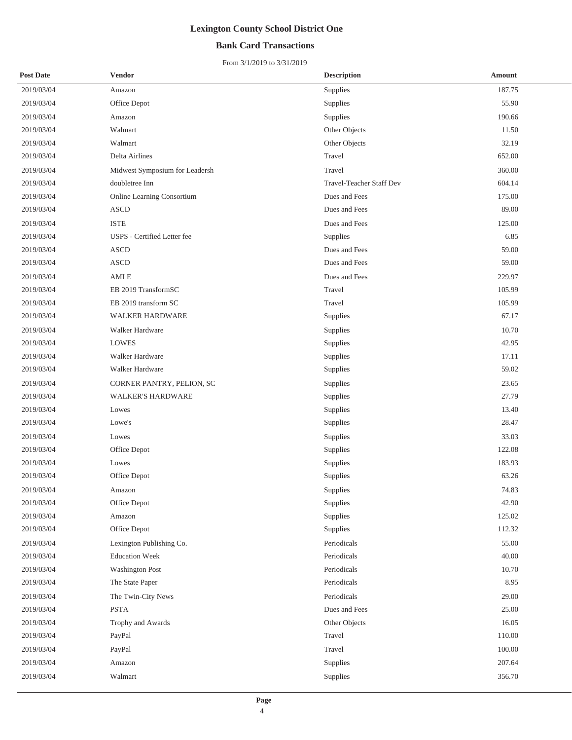## **Bank Card Transactions**

| <b>Post Date</b> | <b>Vendor</b>                  | <b>Description</b>       | <b>Amount</b> |
|------------------|--------------------------------|--------------------------|---------------|
| 2019/03/04       | Amazon                         | Supplies                 | 187.75        |
| 2019/03/04       | Office Depot                   | Supplies                 | 55.90         |
| 2019/03/04       | Amazon                         | Supplies                 | 190.66        |
| 2019/03/04       | Walmart                        | Other Objects            | 11.50         |
| 2019/03/04       | Walmart                        | Other Objects            | 32.19         |
| 2019/03/04       | Delta Airlines                 | Travel                   | 652.00        |
| 2019/03/04       | Midwest Symposium for Leadersh | Travel                   | 360.00        |
| 2019/03/04       | doubletree Inn                 | Travel-Teacher Staff Dev | 604.14        |
| 2019/03/04       | Online Learning Consortium     | Dues and Fees            | 175.00        |
| 2019/03/04       | <b>ASCD</b>                    | Dues and Fees            | 89.00         |
| 2019/03/04       | <b>ISTE</b>                    | Dues and Fees            | 125.00        |
| 2019/03/04       | USPS - Certified Letter fee    | Supplies                 | 6.85          |
| 2019/03/04       | <b>ASCD</b>                    | Dues and Fees            | 59.00         |
| 2019/03/04       | <b>ASCD</b>                    | Dues and Fees            | 59.00         |
| 2019/03/04       | AMLE                           | Dues and Fees            | 229.97        |
| 2019/03/04       | EB 2019 TransformSC            | Travel                   | 105.99        |
| 2019/03/04       | EB 2019 transform SC           | Travel                   | 105.99        |
| 2019/03/04       | <b>WALKER HARDWARE</b>         | Supplies                 | 67.17         |
| 2019/03/04       | Walker Hardware                | Supplies                 | 10.70         |
| 2019/03/04       | <b>LOWES</b>                   | Supplies                 | 42.95         |
| 2019/03/04       | Walker Hardware                | Supplies                 | 17.11         |
| 2019/03/04       | Walker Hardware                | Supplies                 | 59.02         |
| 2019/03/04       | CORNER PANTRY, PELION, SC      | Supplies                 | 23.65         |
| 2019/03/04       | <b>WALKER'S HARDWARE</b>       | Supplies                 | 27.79         |
| 2019/03/04       | Lowes                          | Supplies                 | 13.40         |
| 2019/03/04       | Lowe's                         | Supplies                 | 28.47         |
| 2019/03/04       | Lowes                          | Supplies                 | 33.03         |
| 2019/03/04       | Office Depot                   | Supplies                 | 122.08        |
| 2019/03/04       | Lowes                          | Supplies                 | 183.93        |
| 2019/03/04       | Office Depot                   | Supplies                 | 63.26         |
| 2019/03/04       | Amazon                         | Supplies                 | 74.83         |
| 2019/03/04       | Office Depot                   | Supplies                 | 42.90         |
| 2019/03/04       | Amazon                         | Supplies                 | 125.02        |
| 2019/03/04       | Office Depot                   | Supplies                 | 112.32        |
| 2019/03/04       | Lexington Publishing Co.       | Periodicals              | 55.00         |
| 2019/03/04       | <b>Education Week</b>          | Periodicals              | 40.00         |
| 2019/03/04       | <b>Washington Post</b>         | Periodicals              | 10.70         |
| 2019/03/04       | The State Paper                | Periodicals              | 8.95          |
| 2019/03/04       | The Twin-City News             | Periodicals              | 29.00         |
| 2019/03/04       | <b>PSTA</b>                    | Dues and Fees            | 25.00         |
| 2019/03/04       | Trophy and Awards              | Other Objects            | 16.05         |
| 2019/03/04       | PayPal                         | Travel                   | 110.00        |
| 2019/03/04       | PayPal                         | Travel                   | 100.00        |
| 2019/03/04       | Amazon                         | Supplies                 | 207.64        |
| 2019/03/04       | Walmart                        | Supplies                 | 356.70        |
|                  |                                |                          |               |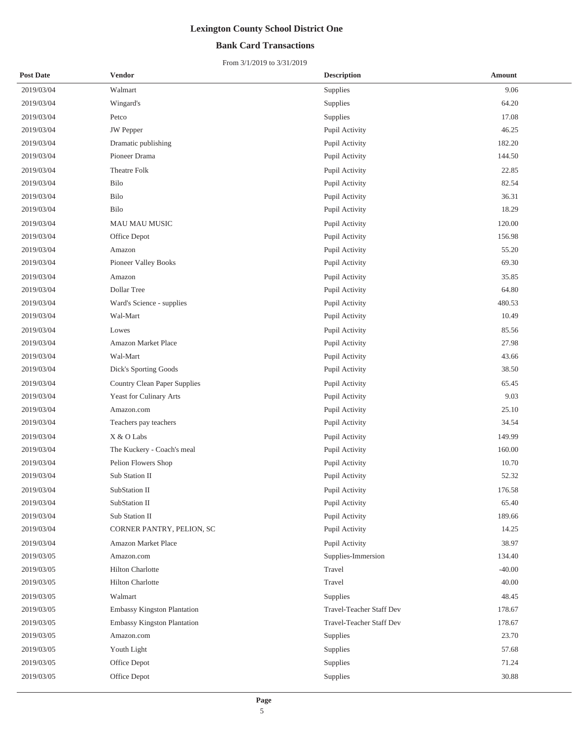## **Bank Card Transactions**

| <b>Post Date</b> | <b>Vendor</b>                       | <b>Description</b>              | <b>Amount</b> |
|------------------|-------------------------------------|---------------------------------|---------------|
| 2019/03/04       | Walmart                             | Supplies                        | 9.06          |
| 2019/03/04       | Wingard's                           | Supplies                        | 64.20         |
| 2019/03/04       | Petco                               | Supplies                        | 17.08         |
| 2019/03/04       | <b>JW</b> Pepper                    | Pupil Activity                  | 46.25         |
| 2019/03/04       | Dramatic publishing                 | Pupil Activity                  | 182.20        |
| 2019/03/04       | Pioneer Drama                       | Pupil Activity                  | 144.50        |
| 2019/03/04       | <b>Theatre Folk</b>                 | Pupil Activity                  | 22.85         |
| 2019/03/04       | Bilo                                | Pupil Activity                  | 82.54         |
| 2019/03/04       | Bilo                                | Pupil Activity                  | 36.31         |
| 2019/03/04       | Bilo                                | Pupil Activity                  | 18.29         |
| 2019/03/04       | MAU MAU MUSIC                       | Pupil Activity                  | 120.00        |
| 2019/03/04       | Office Depot                        | Pupil Activity                  | 156.98        |
| 2019/03/04       | Amazon                              | Pupil Activity                  | 55.20         |
| 2019/03/04       | Pioneer Valley Books                | Pupil Activity                  | 69.30         |
| 2019/03/04       | Amazon                              | Pupil Activity                  | 35.85         |
| 2019/03/04       | Dollar Tree                         | Pupil Activity                  | 64.80         |
| 2019/03/04       | Ward's Science - supplies           | Pupil Activity                  | 480.53        |
| 2019/03/04       | Wal-Mart                            | Pupil Activity                  | 10.49         |
| 2019/03/04       | Lowes                               | Pupil Activity                  | 85.56         |
| 2019/03/04       | Amazon Market Place                 | Pupil Activity                  | 27.98         |
| 2019/03/04       | Wal-Mart                            | Pupil Activity                  | 43.66         |
| 2019/03/04       | Dick's Sporting Goods               | Pupil Activity                  | 38.50         |
| 2019/03/04       | <b>Country Clean Paper Supplies</b> | Pupil Activity                  | 65.45         |
| 2019/03/04       | Yeast for Culinary Arts             | Pupil Activity                  | 9.03          |
| 2019/03/04       | Amazon.com                          | Pupil Activity                  | 25.10         |
| 2019/03/04       | Teachers pay teachers               | Pupil Activity                  | 34.54         |
| 2019/03/04       | X & O Labs                          | Pupil Activity                  | 149.99        |
| 2019/03/04       | The Kuckery - Coach's meal          | Pupil Activity                  | 160.00        |
| 2019/03/04       | Pelion Flowers Shop                 | Pupil Activity                  | 10.70         |
| 2019/03/04       | Sub Station II                      | Pupil Activity                  | 52.32         |
| 2019/03/04       | SubStation II                       | Pupil Activity                  | 176.58        |
| 2019/03/04       | SubStation II                       | Pupil Activity                  | 65.40         |
| 2019/03/04       | Sub Station II                      | Pupil Activity                  | 189.66        |
| 2019/03/04       | CORNER PANTRY, PELION, SC           | Pupil Activity                  | 14.25         |
| 2019/03/04       | Amazon Market Place                 | Pupil Activity                  | 38.97         |
| 2019/03/05       | Amazon.com                          | Supplies-Immersion              | 134.40        |
| 2019/03/05       | <b>Hilton Charlotte</b>             | Travel                          | $-40.00$      |
| 2019/03/05       | <b>Hilton Charlotte</b>             | Travel                          | 40.00         |
| 2019/03/05       | Walmart                             | Supplies                        | 48.45         |
| 2019/03/05       | Embassy Kingston Plantation         | <b>Travel-Teacher Staff Dev</b> | 178.67        |
| 2019/03/05       | Embassy Kingston Plantation         | Travel-Teacher Staff Dev        | 178.67        |
| 2019/03/05       | Amazon.com                          | Supplies                        | 23.70         |
| 2019/03/05       | Youth Light                         | Supplies                        | 57.68         |
| 2019/03/05       | Office Depot                        | Supplies                        | 71.24         |
| 2019/03/05       | Office Depot                        | Supplies                        | 30.88         |
|                  |                                     |                                 |               |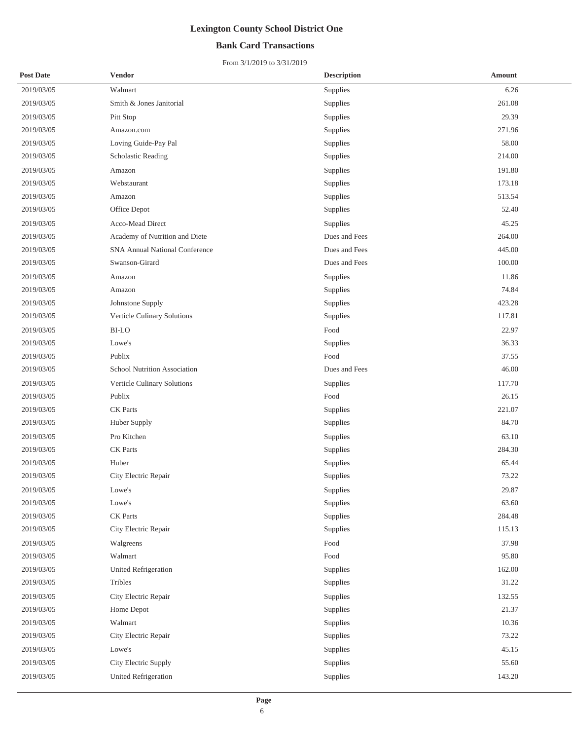## **Bank Card Transactions**

| <b>Post Date</b> | <b>Vendor</b>                         | <b>Description</b> | <b>Amount</b> |
|------------------|---------------------------------------|--------------------|---------------|
| 2019/03/05       | Walmart                               | Supplies           | 6.26          |
| 2019/03/05       | Smith & Jones Janitorial              | Supplies           | 261.08        |
| 2019/03/05       | Pitt Stop                             | Supplies           | 29.39         |
| 2019/03/05       | Amazon.com                            | Supplies           | 271.96        |
| 2019/03/05       | Loving Guide-Pay Pal                  | Supplies           | 58.00         |
| 2019/03/05       | Scholastic Reading                    | Supplies           | 214.00        |
| 2019/03/05       | Amazon                                | Supplies           | 191.80        |
| 2019/03/05       | Webstaurant                           | Supplies           | 173.18        |
| 2019/03/05       | Amazon                                | Supplies           | 513.54        |
| 2019/03/05       | Office Depot                          | Supplies           | 52.40         |
| 2019/03/05       | Acco-Mead Direct                      | Supplies           | 45.25         |
| 2019/03/05       | Academy of Nutrition and Diete        | Dues and Fees      | 264.00        |
| 2019/03/05       | <b>SNA Annual National Conference</b> | Dues and Fees      | 445.00        |
| 2019/03/05       | Swanson-Girard                        | Dues and Fees      | 100.00        |
| 2019/03/05       | Amazon                                | Supplies           | 11.86         |
| 2019/03/05       | Amazon                                | Supplies           | 74.84         |
| 2019/03/05       | Johnstone Supply                      | Supplies           | 423.28        |
| 2019/03/05       | Verticle Culinary Solutions           | Supplies           | 117.81        |
| 2019/03/05       | <b>BI-LO</b>                          | Food               | 22.97         |
| 2019/03/05       | Lowe's                                | Supplies           | 36.33         |
| 2019/03/05       | Publix                                | Food               | 37.55         |
| 2019/03/05       | School Nutrition Association          | Dues and Fees      | 46.00         |
| 2019/03/05       | Verticle Culinary Solutions           | Supplies           | 117.70        |
| 2019/03/05       | Publix                                | Food               | 26.15         |
| 2019/03/05       | <b>CK</b> Parts                       | Supplies           | 221.07        |
| 2019/03/05       | Huber Supply                          | Supplies           | 84.70         |
| 2019/03/05       | Pro Kitchen                           | Supplies           | 63.10         |
| 2019/03/05       | <b>CK</b> Parts                       | Supplies           | 284.30        |
| 2019/03/05       | Huber                                 | Supplies           | 65.44         |
| 2019/03/05       | City Electric Repair                  | Supplies           | 73.22         |
| 2019/03/05       | Lowe's                                | Supplies           | 29.87         |
| 2019/03/05       | Lowe's                                | Supplies           | 63.60         |
| 2019/03/05       | <b>CK</b> Parts                       | Supplies           | 284.48        |
| 2019/03/05       | City Electric Repair                  | Supplies           | 115.13        |
| 2019/03/05       | Walgreens                             | Food               | 37.98         |
| 2019/03/05       | Walmart                               | Food               | 95.80         |
| 2019/03/05       | United Refrigeration                  | Supplies           | 162.00        |
| 2019/03/05       | Tribles                               | Supplies           | 31.22         |
| 2019/03/05       | City Electric Repair                  | Supplies           | 132.55        |
| 2019/03/05       | Home Depot                            | Supplies           | 21.37         |
| 2019/03/05       | Walmart                               | Supplies           | 10.36         |
| 2019/03/05       | City Electric Repair                  | Supplies           | 73.22         |
| 2019/03/05       | Lowe's                                | Supplies           | 45.15         |
| 2019/03/05       | City Electric Supply                  | Supplies           | 55.60         |
| 2019/03/05       | United Refrigeration                  | Supplies           | 143.20        |
|                  |                                       |                    |               |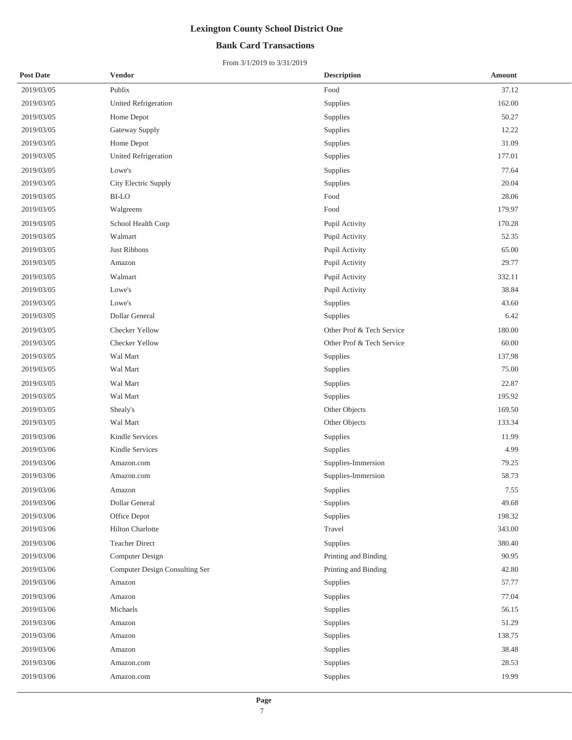## **Bank Card Transactions**

| <b>Post Date</b> | <b>Vendor</b>                  | <b>Description</b>        | Amount |
|------------------|--------------------------------|---------------------------|--------|
| 2019/03/05       | Publix                         | Food                      | 37.12  |
| 2019/03/05       | <b>United Refrigeration</b>    | Supplies                  | 162.00 |
| 2019/03/05       | Home Depot                     | Supplies                  | 50.27  |
| 2019/03/05       | Gateway Supply                 | Supplies                  | 12.22  |
| 2019/03/05       | Home Depot                     | Supplies                  | 31.09  |
| 2019/03/05       | United Refrigeration           | Supplies                  | 177.01 |
| 2019/03/05       | Lowe's                         | Supplies                  | 77.64  |
| 2019/03/05       | City Electric Supply           | Supplies                  | 20.04  |
| 2019/03/05       | <b>BI-LO</b>                   | Food                      | 28.06  |
| 2019/03/05       | Walgreens                      | Food                      | 179.97 |
| 2019/03/05       | School Health Corp             | Pupil Activity            | 170.28 |
| 2019/03/05       | Walmart                        | Pupil Activity            | 52.35  |
| 2019/03/05       | <b>Just Ribbons</b>            | Pupil Activity            | 65.00  |
| 2019/03/05       | Amazon                         | Pupil Activity            | 29.77  |
| 2019/03/05       | Walmart                        | Pupil Activity            | 332.11 |
| 2019/03/05       | Lowe's                         | Pupil Activity            | 38.84  |
| 2019/03/05       | Lowe's                         | Supplies                  | 43.60  |
| 2019/03/05       | Dollar General                 | Supplies                  | 6.42   |
| 2019/03/05       | Checker Yellow                 | Other Prof & Tech Service | 180.00 |
| 2019/03/05       | Checker Yellow                 | Other Prof & Tech Service | 60.00  |
| 2019/03/05       | Wal Mart                       | Supplies                  | 137.98 |
| 2019/03/05       | Wal Mart                       | Supplies                  | 75.00  |
| 2019/03/05       | Wal Mart                       | Supplies                  | 22.87  |
| 2019/03/05       | Wal Mart                       | Supplies                  | 195.92 |
| 2019/03/05       | Shealy's                       | Other Objects             | 169.50 |
| 2019/03/05       | Wal Mart                       | Other Objects             | 133.34 |
| 2019/03/06       | <b>Kindle Services</b>         | Supplies                  | 11.99  |
| 2019/03/06       | Kindle Services                | Supplies                  | 4.99   |
| 2019/03/06       | Amazon.com                     | Supplies-Immersion        | 79.25  |
| 2019/03/06       | Amazon.com                     | Supplies-Immersion        | 58.73  |
| 2019/03/06       | Amazon                         | Supplies                  | 7.55   |
| 2019/03/06       | Dollar General                 | Supplies                  | 49.68  |
| 2019/03/06       | Office Depot                   | Supplies                  | 198.32 |
| 2019/03/06       | Hilton Charlotte               | Travel                    | 343.00 |
| 2019/03/06       | <b>Teacher Direct</b>          | Supplies                  | 380.40 |
| 2019/03/06       | Computer Design                | Printing and Binding      | 90.95  |
| 2019/03/06       | Computer Design Consulting Ser | Printing and Binding      | 42.80  |
| 2019/03/06       | Amazon                         | Supplies                  | 57.77  |
| 2019/03/06       | Amazon                         | Supplies                  | 77.04  |
| 2019/03/06       | Michaels                       | Supplies                  | 56.15  |
| 2019/03/06       | Amazon                         | Supplies                  | 51.29  |
| 2019/03/06       | Amazon                         | Supplies                  | 138.75 |
| 2019/03/06       | Amazon                         | Supplies                  | 38.48  |
| 2019/03/06       | Amazon.com                     | Supplies                  | 28.53  |
| 2019/03/06       | Amazon.com                     | Supplies                  | 19.99  |
|                  |                                |                           |        |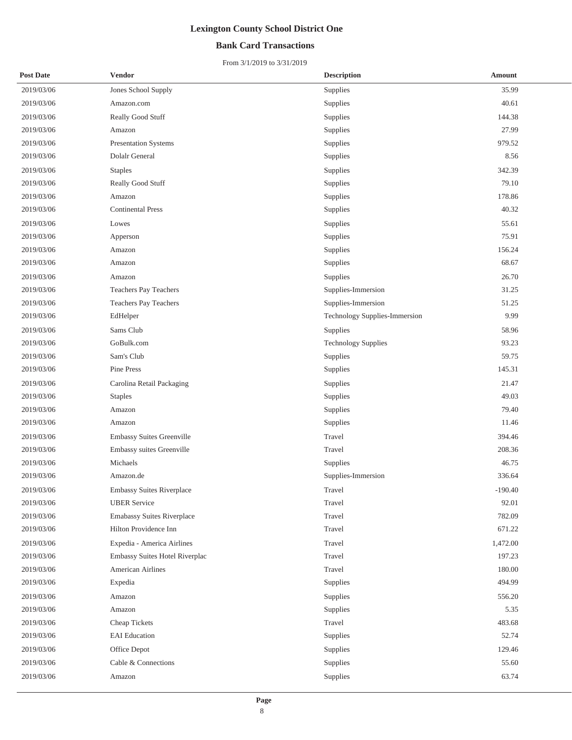## **Bank Card Transactions**

| <b>Post Date</b> | Vendor                           | <b>Description</b>            | Amount    |  |
|------------------|----------------------------------|-------------------------------|-----------|--|
| 2019/03/06       | Jones School Supply              | Supplies                      | 35.99     |  |
| 2019/03/06       | Amazon.com                       | Supplies                      | 40.61     |  |
| 2019/03/06       | Really Good Stuff                | Supplies                      | 144.38    |  |
| 2019/03/06       | Amazon                           | Supplies                      | 27.99     |  |
| 2019/03/06       | <b>Presentation Systems</b>      | Supplies                      | 979.52    |  |
| 2019/03/06       | Dolalr General                   | Supplies                      | 8.56      |  |
| 2019/03/06       | <b>Staples</b>                   | Supplies                      | 342.39    |  |
| 2019/03/06       | Really Good Stuff                | Supplies                      | 79.10     |  |
| 2019/03/06       | Amazon                           | Supplies                      | 178.86    |  |
| 2019/03/06       | <b>Continental Press</b>         | Supplies                      | 40.32     |  |
| 2019/03/06       | Lowes                            | Supplies                      | 55.61     |  |
| 2019/03/06       | Apperson                         | Supplies                      | 75.91     |  |
| 2019/03/06       | Amazon                           | Supplies                      | 156.24    |  |
| 2019/03/06       | Amazon                           | Supplies                      | 68.67     |  |
| 2019/03/06       | Amazon                           | Supplies                      | 26.70     |  |
| 2019/03/06       | <b>Teachers Pay Teachers</b>     | Supplies-Immersion            | 31.25     |  |
| 2019/03/06       | Teachers Pay Teachers            | Supplies-Immersion            | 51.25     |  |
| 2019/03/06       | EdHelper                         | Technology Supplies-Immersion | 9.99      |  |
| 2019/03/06       | Sams Club                        | Supplies                      | 58.96     |  |
| 2019/03/06       | GoBulk.com                       | <b>Technology Supplies</b>    | 93.23     |  |
| 2019/03/06       | Sam's Club                       | Supplies                      | 59.75     |  |
| 2019/03/06       | Pine Press                       | Supplies                      | 145.31    |  |
| 2019/03/06       | Carolina Retail Packaging        | Supplies                      | 21.47     |  |
| 2019/03/06       | <b>Staples</b>                   | Supplies                      | 49.03     |  |
| 2019/03/06       | Amazon                           | Supplies                      | 79.40     |  |
| 2019/03/06       | Amazon                           | Supplies                      | 11.46     |  |
| 2019/03/06       | <b>Embassy Suites Greenville</b> | Travel                        | 394.46    |  |
| 2019/03/06       | Embassy suites Greenville        | Travel                        | 208.36    |  |
| 2019/03/06       | Michaels                         | Supplies                      | 46.75     |  |
| 2019/03/06       | Amazon.de                        | Supplies-Immersion            | 336.64    |  |
| 2019/03/06       | Embassy Suites Riverplace        | Travel                        | $-190.40$ |  |
| 2019/03/06       | <b>UBER Service</b>              | Travel                        | 92.01     |  |
| 2019/03/06       | Emabassy Suites Riverplace       | Travel                        | 782.09    |  |
| 2019/03/06       | Hilton Providence Inn            | Travel                        | 671.22    |  |
| 2019/03/06       | Expedia - America Airlines       | Travel                        | 1,472.00  |  |
| 2019/03/06       | Embassy Suites Hotel Riverplac   | Travel                        | 197.23    |  |
| 2019/03/06       | American Airlines                | Travel                        | 180.00    |  |
| 2019/03/06       | Expedia                          | Supplies                      | 494.99    |  |
| 2019/03/06       | Amazon                           | Supplies                      | 556.20    |  |
| 2019/03/06       | Amazon                           | Supplies                      | 5.35      |  |
| 2019/03/06       | Cheap Tickets                    | Travel                        | 483.68    |  |
| 2019/03/06       | <b>EAI</b> Education             | Supplies                      | 52.74     |  |
| 2019/03/06       | Office Depot                     | Supplies                      | 129.46    |  |
| 2019/03/06       | Cable & Connections              | Supplies                      | 55.60     |  |
| 2019/03/06       | Amazon                           | Supplies                      | 63.74     |  |
|                  |                                  |                               |           |  |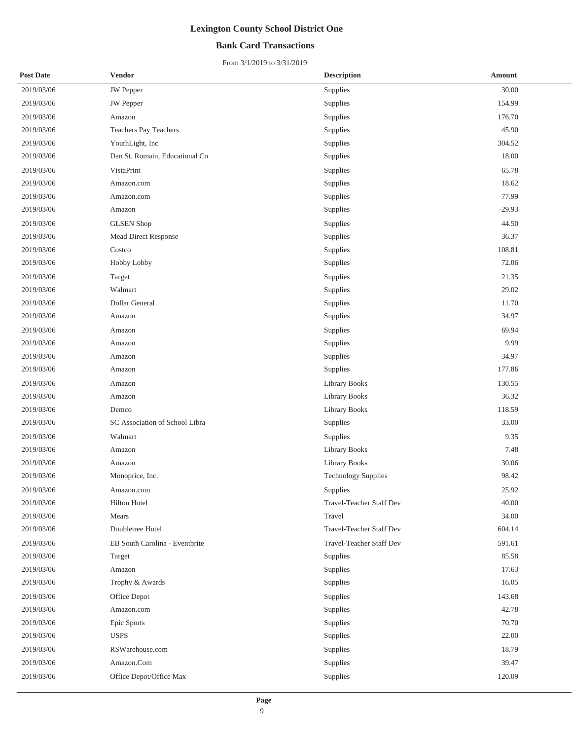## **Bank Card Transactions**

| <b>Post Date</b> | Vendor                         | <b>Description</b>       | Amount   |
|------------------|--------------------------------|--------------------------|----------|
| 2019/03/06       | <b>JW</b> Pepper               | Supplies                 | 30.00    |
| 2019/03/06       | <b>JW</b> Pepper               | Supplies                 | 154.99   |
| 2019/03/06       | Amazon                         | Supplies                 | 176.70   |
| 2019/03/06       | Teachers Pay Teachers          | Supplies                 | 45.90    |
| 2019/03/06       | YouthLight, Inc                | Supplies                 | 304.52   |
| 2019/03/06       | Dan St. Romain, Educational Co | Supplies                 | 18.00    |
| 2019/03/06       | VistaPrint                     | Supplies                 | 65.78    |
| 2019/03/06       | Amazon.com                     | Supplies                 | 18.62    |
| 2019/03/06       | Amazon.com                     | Supplies                 | 77.99    |
| 2019/03/06       | Amazon                         | Supplies                 | $-29.93$ |
| 2019/03/06       | <b>GLSEN</b> Shop              | Supplies                 | 44.50    |
| 2019/03/06       | Mead Direct Response           | Supplies                 | 36.37    |
| 2019/03/06       | Costco                         | Supplies                 | 108.81   |
| 2019/03/06       | Hobby Lobby                    | Supplies                 | 72.06    |
| 2019/03/06       | Target                         | Supplies                 | 21.35    |
| 2019/03/06       | Walmart                        | Supplies                 | 29.02    |
| 2019/03/06       | Dollar General                 | Supplies                 | 11.70    |
| 2019/03/06       | Amazon                         | Supplies                 | 34.97    |
| 2019/03/06       | Amazon                         | Supplies                 | 69.94    |
| 2019/03/06       | Amazon                         | Supplies                 | 9.99     |
| 2019/03/06       | Amazon                         | Supplies                 | 34.97    |
| 2019/03/06       | Amazon                         | Supplies                 | 177.86   |
| 2019/03/06       | Amazon                         | Library Books            | 130.55   |
| 2019/03/06       | Amazon                         | Library Books            | 36.32    |
| 2019/03/06       | Demco                          | <b>Library Books</b>     | 118.59   |
| 2019/03/06       | SC Association of School Libra | Supplies                 | 33.00    |
| 2019/03/06       | Walmart                        | Supplies                 | 9.35     |
| 2019/03/06       | Amazon                         | <b>Library Books</b>     | 7.48     |
| 2019/03/06       | Amazon                         | <b>Library Books</b>     | 30.06    |
| 2019/03/06       | Monoprice, Inc.                | Technology Supplies      | 98.42    |
| 2019/03/06       | Amazon.com                     | Supplies                 | 25.92    |
| 2019/03/06       | Hilton Hotel                   | Travel-Teacher Staff Dev | 40.00    |
| 2019/03/06       | Mears                          | Travel                   | 34.00    |
| 2019/03/06       | Doubletree Hotel               | Travel-Teacher Staff Dev | 604.14   |
| 2019/03/06       | EB South Carolina - Eventbrite | Travel-Teacher Staff Dev | 591.61   |
| 2019/03/06       | Target                         | Supplies                 | 85.58    |
| 2019/03/06       | Amazon                         | Supplies                 | 17.63    |
| 2019/03/06       | Trophy & Awards                | Supplies                 | 16.05    |
| 2019/03/06       | Office Depot                   | Supplies                 | 143.68   |
| 2019/03/06       | Amazon.com                     | Supplies                 | 42.78    |
| 2019/03/06       | Epic Sports                    | Supplies                 | 70.70    |
| 2019/03/06       | <b>USPS</b>                    | Supplies                 | 22.00    |
| 2019/03/06       | RSWarehouse.com                | Supplies                 | 18.79    |
| 2019/03/06       | Amazon.Com                     | Supplies                 | 39.47    |
| 2019/03/06       | Office Depot/Office Max        | Supplies                 | 120.09   |
|                  |                                |                          |          |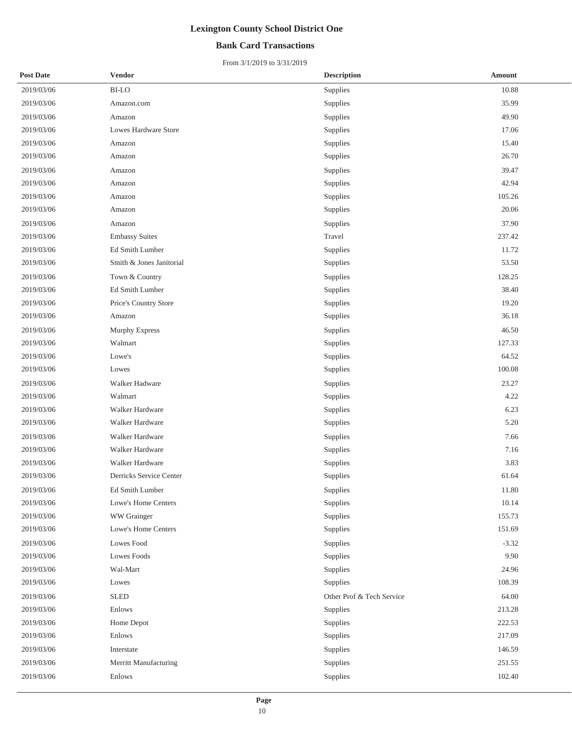## **Bank Card Transactions**

| <b>Post Date</b> | <b>Vendor</b>            | <b>Description</b>        | <b>Amount</b> |
|------------------|--------------------------|---------------------------|---------------|
| 2019/03/06       | <b>BI-LO</b>             | Supplies                  | 10.88         |
| 2019/03/06       | Amazon.com               | Supplies                  | 35.99         |
| 2019/03/06       | Amazon                   | Supplies                  | 49.90         |
| 2019/03/06       | Lowes Hardware Store     | Supplies                  | 17.06         |
| 2019/03/06       | Amazon                   | Supplies                  | 15.40         |
| 2019/03/06       | Amazon                   | Supplies                  | 26.70         |
| 2019/03/06       | Amazon                   | Supplies                  | 39.47         |
| 2019/03/06       | Amazon                   | Supplies                  | 42.94         |
| 2019/03/06       | Amazon                   | Supplies                  | 105.26        |
| 2019/03/06       | Amazon                   | Supplies                  | 20.06         |
| 2019/03/06       | Amazon                   | Supplies                  | 37.90         |
| 2019/03/06       | <b>Embassy Suites</b>    | Travel                    | 237.42        |
| 2019/03/06       | Ed Smith Lumber          | Supplies                  | 11.72         |
| 2019/03/06       | Smith & Jones Janitorial | Supplies                  | 53.50         |
| 2019/03/06       | Town & Country           | Supplies                  | 128.25        |
| 2019/03/06       | Ed Smith Lumber          | Supplies                  | 38.40         |
| 2019/03/06       | Price's Country Store    | Supplies                  | 19.20         |
| 2019/03/06       | Amazon                   | Supplies                  | 36.18         |
| 2019/03/06       | Murphy Express           | Supplies                  | 46.50         |
| 2019/03/06       | Walmart                  | Supplies                  | 127.33        |
| 2019/03/06       | Lowe's                   | Supplies                  | 64.52         |
| 2019/03/06       | Lowes                    | Supplies                  | 100.08        |
| 2019/03/06       | Walker Hadware           | Supplies                  | 23.27         |
| 2019/03/06       | Walmart                  | Supplies                  | 4.22          |
| 2019/03/06       | Walker Hardware          | Supplies                  | 6.23          |
| 2019/03/06       | Walker Hardware          | Supplies                  | 5.20          |
| 2019/03/06       | Walker Hardware          | Supplies                  | 7.66          |
| 2019/03/06       | Walker Hardware          | Supplies                  | 7.16          |
| 2019/03/06       | Walker Hardware          | Supplies                  | 3.83          |
| 2019/03/06       | Derricks Service Center  | Supplies                  | 61.64         |
| 2019/03/06       | Ed Smith Lumber          | Supplies                  | 11.80         |
| 2019/03/06       | Lowe's Home Centers      | Supplies                  | 10.14         |
| 2019/03/06       | WW Grainger              | Supplies                  | 155.73        |
| 2019/03/06       | Lowe's Home Centers      | Supplies                  | 151.69        |
| 2019/03/06       | Lowes Food               | Supplies                  | $-3.32$       |
| 2019/03/06       | Lowes Foods              | Supplies                  | 9.90          |
| 2019/03/06       | Wal-Mart                 | Supplies                  | 24.96         |
| 2019/03/06       | Lowes                    | Supplies                  | 108.39        |
| 2019/03/06       | <b>SLED</b>              | Other Prof & Tech Service | 64.00         |
| 2019/03/06       | Enlows                   | Supplies                  | 213.28        |
| 2019/03/06       | Home Depot               | Supplies                  | 222.53        |
| 2019/03/06       | Enlows                   | Supplies                  | 217.09        |
| 2019/03/06       | Interstate               | Supplies                  | 146.59        |
| 2019/03/06       | Merritt Manufacturing    | Supplies                  | 251.55        |
| 2019/03/06       | Enlows                   | Supplies                  | 102.40        |
|                  |                          |                           |               |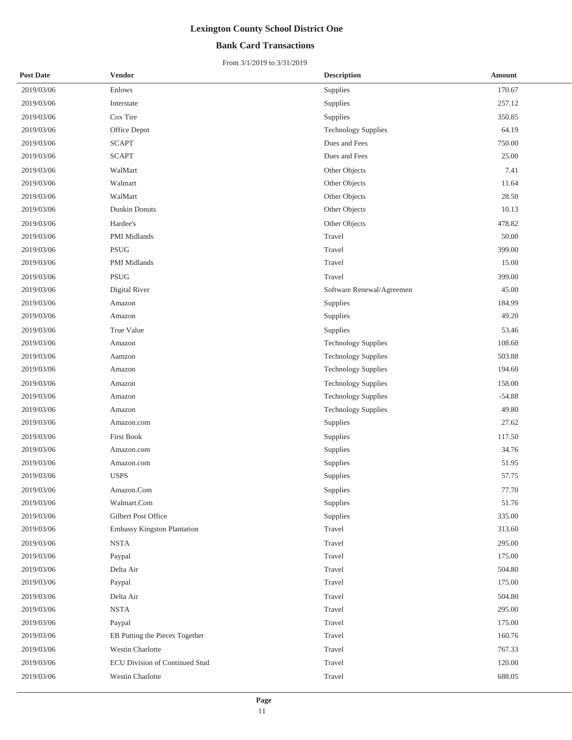### **Bank Card Transactions**

| <b>Post Date</b> | <b>Vendor</b>                  | <b>Description</b>         | Amount   |
|------------------|--------------------------------|----------------------------|----------|
| 2019/03/06       | Enlows                         | Supplies                   | 170.67   |
| 2019/03/06       | Interstate                     | Supplies                   | 257.12   |
| 2019/03/06       | Cox Tire                       | Supplies                   | 350.85   |
| 2019/03/06       | Office Depot                   | <b>Technology Supplies</b> | 64.19    |
| 2019/03/06       | <b>SCAPT</b>                   | Dues and Fees              | 750.00   |
| 2019/03/06       | <b>SCAPT</b>                   | Dues and Fees              | 25.00    |
| 2019/03/06       | WalMart                        | Other Objects              | 7.41     |
| 2019/03/06       | Walmart                        | Other Objects              | 11.64    |
| 2019/03/06       | WalMart                        | Other Objects              | 28.50    |
| 2019/03/06       | <b>Dunkin Donuts</b>           | Other Objects              | 10.13    |
| 2019/03/06       | Hardee's                       | Other Objects              | 478.82   |
| 2019/03/06       | PMI Midlands                   | Travel                     | 50.00    |
| 2019/03/06       | $\operatorname{PSUG}$          | Travel                     | 399.00   |
| 2019/03/06       | PMI Midlands                   | Travel                     | 15.00    |
| 2019/03/06       | <b>PSUG</b>                    | Travel                     | 399.00   |
| 2019/03/06       | Digital River                  | Software Renewal/Agreemen  | 45.00    |
| 2019/03/06       | Amazon                         | Supplies                   | 184.99   |
| 2019/03/06       | Amazon                         | Supplies                   | 49.20    |
| 2019/03/06       | True Value                     | Supplies                   | 53.46    |
| 2019/03/06       | Amazon                         | <b>Technology Supplies</b> | 108.60   |
| 2019/03/06       | Aamzon                         | <b>Technology Supplies</b> | 503.88   |
| 2019/03/06       | Amazon                         | <b>Technology Supplies</b> | 194.60   |
| 2019/03/06       | Amazon                         | <b>Technology Supplies</b> | 158.00   |
| 2019/03/06       | Amazon                         | <b>Technology Supplies</b> | $-54.88$ |
| 2019/03/06       | Amazon                         | <b>Technology Supplies</b> | 49.80    |
| 2019/03/06       | Amazon.com                     | Supplies                   | 27.62    |
| 2019/03/06       | <b>First Book</b>              | Supplies                   | 117.50   |
| 2019/03/06       | Amazon.com                     | Supplies                   | 34.76    |
| 2019/03/06       | Amazon.com                     | Supplies                   | 51.95    |
| 2019/03/06       | <b>USPS</b>                    | Supplies                   | 57.75    |
| 2019/03/06       | Amazon.Com                     | Supplies                   | 77.70    |
| 2019/03/06       | Walmart.Com                    | Supplies                   | 51.76    |
| 2019/03/06       | Gilbert Post Office            | Supplies                   | 335.00   |
| 2019/03/06       | Embassy Kingston Plantation    | Travel                     | 313.60   |
| 2019/03/06       | <b>NSTA</b>                    | Travel                     | 295.00   |
| 2019/03/06       | Paypal                         | Travel                     | 175.00   |
| 2019/03/06       | Delta Air                      | Travel                     | 504.80   |
| 2019/03/06       | Paypal                         | Travel                     | 175.00   |
| 2019/03/06       | Delta Air                      | Travel                     | 504.80   |
| 2019/03/06       | <b>NSTA</b>                    | Travel                     | 295.00   |
| 2019/03/06       | Paypal                         | Travel                     | 175.00   |
| 2019/03/06       | EB Putting the Pieces Together | Travel                     | 160.76   |
| 2019/03/06       | Westin Charlotte               | Travel                     | 767.33   |
| 2019/03/06       | ECU Division of Continued Stud | Travel                     | 120.00   |
| 2019/03/06       | Westin Charlotte               | Travel                     | 688.05   |
|                  |                                |                            |          |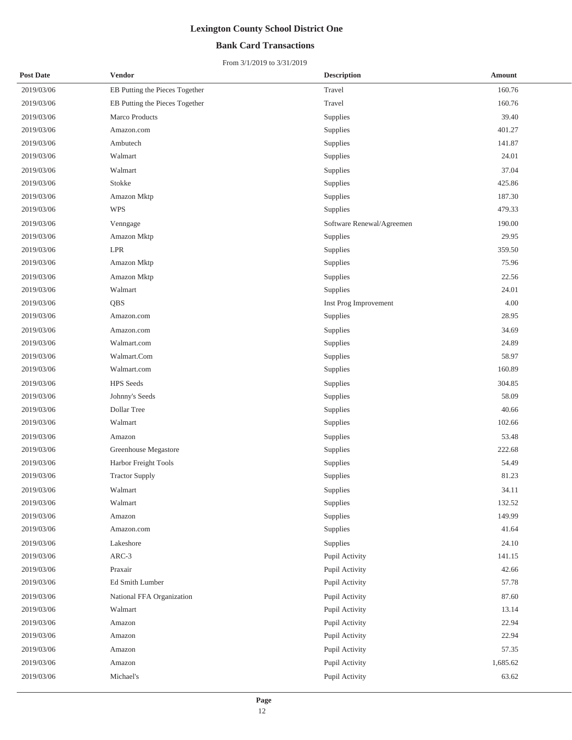## **Bank Card Transactions**

| <b>Post Date</b> | Vendor                         | <b>Description</b>        | <b>Amount</b> |
|------------------|--------------------------------|---------------------------|---------------|
| 2019/03/06       | EB Putting the Pieces Together | Travel                    | 160.76        |
| 2019/03/06       | EB Putting the Pieces Together | Travel                    | 160.76        |
| 2019/03/06       | Marco Products                 | Supplies                  | 39.40         |
| 2019/03/06       | Amazon.com                     | Supplies                  | 401.27        |
| 2019/03/06       | Ambutech                       | Supplies                  | 141.87        |
| 2019/03/06       | Walmart                        | Supplies                  | 24.01         |
| 2019/03/06       | Walmart                        | Supplies                  | 37.04         |
| 2019/03/06       | Stokke                         | Supplies                  | 425.86        |
| 2019/03/06       | Amazon Mktp                    | Supplies                  | 187.30        |
| 2019/03/06       | <b>WPS</b>                     | Supplies                  | 479.33        |
| 2019/03/06       | Venngage                       | Software Renewal/Agreemen | 190.00        |
| 2019/03/06       | Amazon Mktp                    | Supplies                  | 29.95         |
| 2019/03/06       | $\ensuremath{\mathrm{LPR}}$    | Supplies                  | 359.50        |
| 2019/03/06       | Amazon Mktp                    | Supplies                  | 75.96         |
| 2019/03/06       | Amazon Mktp                    | Supplies                  | 22.56         |
| 2019/03/06       | Walmart                        | Supplies                  | 24.01         |
| 2019/03/06       | QBS                            | Inst Prog Improvement     | 4.00          |
| 2019/03/06       | Amazon.com                     | Supplies                  | 28.95         |
| 2019/03/06       | Amazon.com                     | Supplies                  | 34.69         |
| 2019/03/06       | Walmart.com                    | Supplies                  | 24.89         |
| 2019/03/06       | Walmart.Com                    | Supplies                  | 58.97         |
| 2019/03/06       | Walmart.com                    | Supplies                  | 160.89        |
| 2019/03/06       | <b>HPS</b> Seeds               | Supplies                  | 304.85        |
| 2019/03/06       | Johnny's Seeds                 | Supplies                  | 58.09         |
| 2019/03/06       | Dollar Tree                    | Supplies                  | 40.66         |
| 2019/03/06       | Walmart                        | Supplies                  | 102.66        |
| 2019/03/06       | Amazon                         | Supplies                  | 53.48         |
| 2019/03/06       | Greenhouse Megastore           | Supplies                  | 222.68        |
| 2019/03/06       | Harbor Freight Tools           | Supplies                  | 54.49         |
| 2019/03/06       | <b>Tractor Supply</b>          | Supplies                  | 81.23         |
| 2019/03/06       | Walmart                        | Supplies                  | 34.11         |
| 2019/03/06       | Walmart                        | Supplies                  | 132.52        |
| 2019/03/06       | Amazon                         | Supplies                  | 149.99        |
| 2019/03/06       | Amazon.com                     | Supplies                  | 41.64         |
| 2019/03/06       | Lakeshore                      | Supplies                  | 24.10         |
| 2019/03/06       | ARC-3                          | Pupil Activity            | 141.15        |
| 2019/03/06       | Praxair                        | Pupil Activity            | 42.66         |
| 2019/03/06       | Ed Smith Lumber                | Pupil Activity            | 57.78         |
| 2019/03/06       | National FFA Organization      | Pupil Activity            | 87.60         |
| 2019/03/06       | Walmart                        | Pupil Activity            | 13.14         |
| 2019/03/06       | Amazon                         | Pupil Activity            | 22.94         |
| 2019/03/06       | Amazon                         | Pupil Activity            | 22.94         |
| 2019/03/06       | Amazon                         | Pupil Activity            | 57.35         |
| 2019/03/06       | Amazon                         | Pupil Activity            | 1,685.62      |
| 2019/03/06       | Michael's                      | Pupil Activity            | 63.62         |
|                  |                                |                           |               |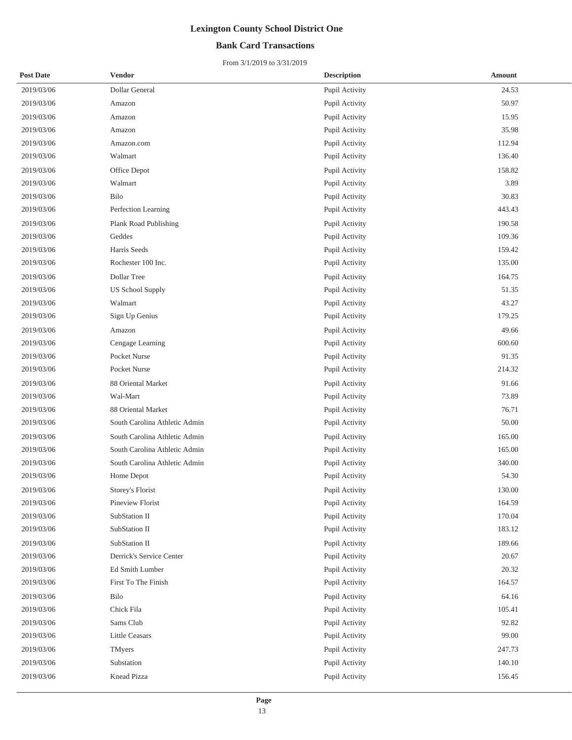## **Bank Card Transactions**

| <b>Post Date</b> | <b>Vendor</b>                 | <b>Description</b> | <b>Amount</b> |
|------------------|-------------------------------|--------------------|---------------|
| 2019/03/06       | Dollar General                | Pupil Activity     | 24.53         |
| 2019/03/06       | Amazon                        | Pupil Activity     | 50.97         |
| 2019/03/06       | Amazon                        | Pupil Activity     | 15.95         |
| 2019/03/06       | Amazon                        | Pupil Activity     | 35.98         |
| 2019/03/06       | Amazon.com                    | Pupil Activity     | 112.94        |
| 2019/03/06       | Walmart                       | Pupil Activity     | 136.40        |
| 2019/03/06       | Office Depot                  | Pupil Activity     | 158.82        |
| 2019/03/06       | Walmart                       | Pupil Activity     | 3.89          |
| 2019/03/06       | Bilo                          | Pupil Activity     | 30.83         |
| 2019/03/06       | Perfection Learning           | Pupil Activity     | 443.43        |
| 2019/03/06       | Plank Road Publishing         | Pupil Activity     | 190.58        |
| 2019/03/06       | Geddes                        | Pupil Activity     | 109.36        |
| 2019/03/06       | Harris Seeds                  | Pupil Activity     | 159.42        |
| 2019/03/06       | Rochester 100 Inc.            | Pupil Activity     | 135.00        |
| 2019/03/06       | Dollar Tree                   | Pupil Activity     | 164.75        |
| 2019/03/06       | <b>US School Supply</b>       | Pupil Activity     | 51.35         |
| 2019/03/06       | Walmart                       | Pupil Activity     | 43.27         |
| 2019/03/06       | Sign Up Genius                | Pupil Activity     | 179.25        |
| 2019/03/06       | Amazon                        | Pupil Activity     | 49.66         |
| 2019/03/06       | Cengage Learning              | Pupil Activity     | 600.60        |
| 2019/03/06       | Pocket Nurse                  | Pupil Activity     | 91.35         |
| 2019/03/06       | Pocket Nurse                  | Pupil Activity     | 214.32        |
| 2019/03/06       | 88 Oriental Market            | Pupil Activity     | 91.66         |
| 2019/03/06       | Wal-Mart                      | Pupil Activity     | 73.89         |
| 2019/03/06       | 88 Oriental Market            | Pupil Activity     | 76.71         |
| 2019/03/06       | South Carolina Athletic Admin | Pupil Activity     | 50.00         |
| 2019/03/06       | South Carolina Athletic Admin | Pupil Activity     | 165.00        |
| 2019/03/06       | South Carolina Athletic Admin | Pupil Activity     | 165.00        |
| 2019/03/06       | South Carolina Athletic Admin | Pupil Activity     | 340.00        |
| 2019/03/06       | Home Depot                    | Pupil Activity     | 54.30         |
| 2019/03/06       | Storey's Florist              | Pupil Activity     | 130.00        |
| 2019/03/06       | Pineview Florist              | Pupil Activity     | 164.59        |
| 2019/03/06       | SubStation II                 | Pupil Activity     | 170.04        |
| 2019/03/06       | SubStation II                 | Pupil Activity     | 183.12        |
| 2019/03/06       | SubStation II                 | Pupil Activity     | 189.66        |
| 2019/03/06       | Derrick's Service Center      | Pupil Activity     | 20.67         |
| 2019/03/06       | Ed Smith Lumber               | Pupil Activity     | 20.32         |
| 2019/03/06       | First To The Finish           | Pupil Activity     | 164.57        |
| 2019/03/06       | Bilo                          | Pupil Activity     | 64.16         |
| 2019/03/06       | Chick Fila                    | Pupil Activity     | 105.41        |
| 2019/03/06       | Sams Club                     | Pupil Activity     | 92.82         |
| 2019/03/06       | <b>Little Ceasars</b>         | Pupil Activity     | 99.00         |
| 2019/03/06       | TMyers                        | Pupil Activity     | 247.73        |
| 2019/03/06       | Substation                    | Pupil Activity     | 140.10        |
| 2019/03/06       | Knead Pizza                   | Pupil Activity     | 156.45        |
|                  |                               |                    |               |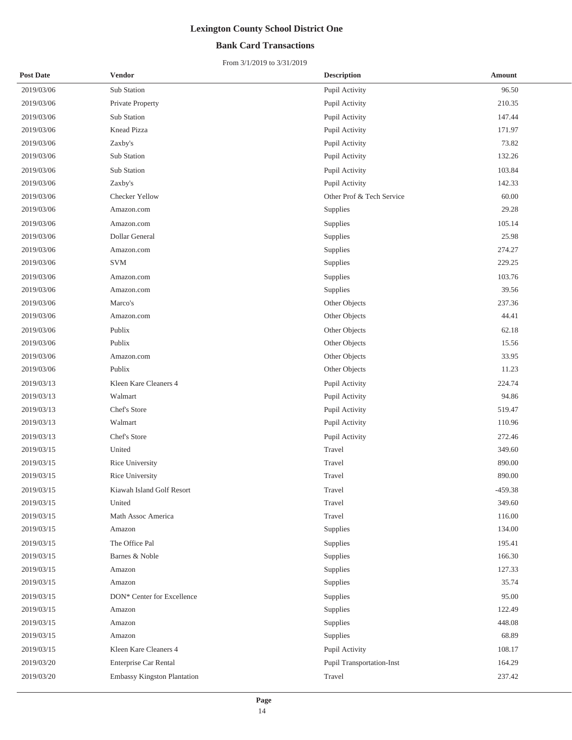## **Bank Card Transactions**

| <b>Post Date</b> | <b>Vendor</b>               | <b>Description</b>        | <b>Amount</b> |
|------------------|-----------------------------|---------------------------|---------------|
| 2019/03/06       | Sub Station                 | Pupil Activity            | 96.50         |
| 2019/03/06       | Private Property            | Pupil Activity            | 210.35        |
| 2019/03/06       | Sub Station                 | Pupil Activity            | 147.44        |
| 2019/03/06       | Knead Pizza                 | Pupil Activity            | 171.97        |
| 2019/03/06       | Zaxby's                     | Pupil Activity            | 73.82         |
| 2019/03/06       | Sub Station                 | Pupil Activity            | 132.26        |
| 2019/03/06       | Sub Station                 | Pupil Activity            | 103.84        |
| 2019/03/06       | Zaxby's                     | Pupil Activity            | 142.33        |
| 2019/03/06       | Checker Yellow              | Other Prof & Tech Service | 60.00         |
| 2019/03/06       | Amazon.com                  | Supplies                  | 29.28         |
| 2019/03/06       | Amazon.com                  | Supplies                  | 105.14        |
| 2019/03/06       | Dollar General              | Supplies                  | 25.98         |
| 2019/03/06       | Amazon.com                  | Supplies                  | 274.27        |
| 2019/03/06       | <b>SVM</b>                  | Supplies                  | 229.25        |
| 2019/03/06       | Amazon.com                  | Supplies                  | 103.76        |
| 2019/03/06       | Amazon.com                  | Supplies                  | 39.56         |
| 2019/03/06       | Marco's                     | Other Objects             | 237.36        |
| 2019/03/06       | Amazon.com                  | Other Objects             | 44.41         |
| 2019/03/06       | Publix                      | Other Objects             | 62.18         |
| 2019/03/06       | Publix                      | Other Objects             | 15.56         |
| 2019/03/06       | Amazon.com                  | Other Objects             | 33.95         |
| 2019/03/06       | Publix                      | Other Objects             | 11.23         |
| 2019/03/13       | Kleen Kare Cleaners 4       | Pupil Activity            | 224.74        |
| 2019/03/13       | Walmart                     | Pupil Activity            | 94.86         |
| 2019/03/13       | Chef's Store                | Pupil Activity            | 519.47        |
| 2019/03/13       | Walmart                     | Pupil Activity            | 110.96        |
| 2019/03/13       | Chef's Store                | Pupil Activity            | 272.46        |
| 2019/03/15       | United                      | Travel                    | 349.60        |
| 2019/03/15       | Rice University             | Travel                    | 890.00        |
| 2019/03/15       | Rice University             | Travel                    | 890.00        |
| 2019/03/15       | Kiawah Island Golf Resort   | Travel                    | $-459.38$     |
| 2019/03/15       | United                      | Travel                    | 349.60        |
| 2019/03/15       | Math Assoc America          | Travel                    | 116.00        |
| 2019/03/15       | Amazon                      | Supplies                  | 134.00        |
| 2019/03/15       | The Office Pal              | Supplies                  | 195.41        |
| 2019/03/15       | Barnes & Noble              | Supplies                  | 166.30        |
| 2019/03/15       | Amazon                      | Supplies                  | 127.33        |
| 2019/03/15       | Amazon                      | Supplies                  | 35.74         |
| 2019/03/15       | DON* Center for Excellence  | Supplies                  | 95.00         |
| 2019/03/15       | Amazon                      | Supplies                  | 122.49        |
| 2019/03/15       | Amazon                      | Supplies                  | 448.08        |
| 2019/03/15       | Amazon                      | Supplies                  | 68.89         |
| 2019/03/15       | Kleen Kare Cleaners 4       | Pupil Activity            | 108.17        |
| 2019/03/20       | Enterprise Car Rental       | Pupil Transportation-Inst | 164.29        |
| 2019/03/20       | Embassy Kingston Plantation | Travel                    | 237.42        |
|                  |                             |                           |               |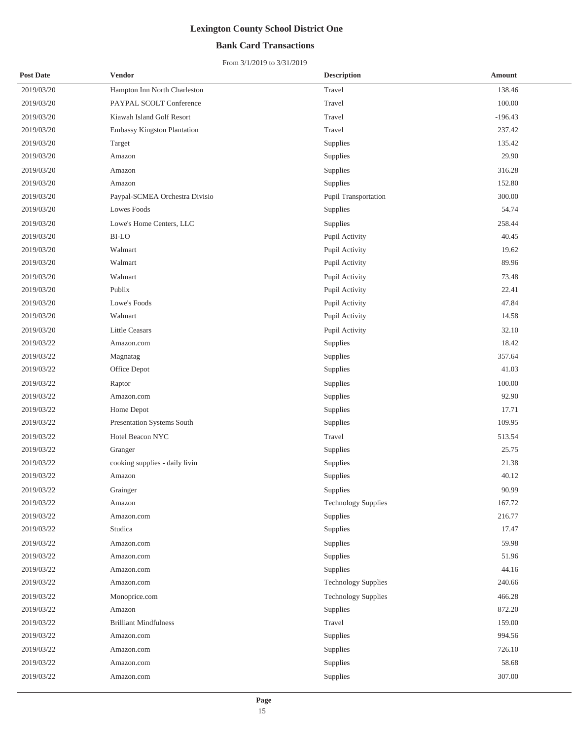## **Bank Card Transactions**

| <b>Post Date</b> | Vendor                         | <b>Description</b>         | Amount    |
|------------------|--------------------------------|----------------------------|-----------|
| 2019/03/20       | Hampton Inn North Charleston   | Travel                     | 138.46    |
| 2019/03/20       | PAYPAL SCOLT Conference        | Travel                     | 100.00    |
| 2019/03/20       | Kiawah Island Golf Resort      | Travel                     | $-196.43$ |
| 2019/03/20       | Embassy Kingston Plantation    | Travel                     | 237.42    |
| 2019/03/20       | Target                         | Supplies                   | 135.42    |
| 2019/03/20       | Amazon                         | Supplies                   | 29.90     |
| 2019/03/20       | Amazon                         | Supplies                   | 316.28    |
| 2019/03/20       | Amazon                         | Supplies                   | 152.80    |
| 2019/03/20       | Paypal-SCMEA Orchestra Divisio | Pupil Transportation       | 300.00    |
| 2019/03/20       | <b>Lowes Foods</b>             | Supplies                   | 54.74     |
| 2019/03/20       | Lowe's Home Centers, LLC       | Supplies                   | 258.44    |
| 2019/03/20       | <b>BI-LO</b>                   | Pupil Activity             | 40.45     |
| 2019/03/20       | Walmart                        | Pupil Activity             | 19.62     |
| 2019/03/20       | Walmart                        | Pupil Activity             | 89.96     |
| 2019/03/20       | Walmart                        | Pupil Activity             | 73.48     |
| 2019/03/20       | Publix                         | Pupil Activity             | 22.41     |
| 2019/03/20       | Lowe's Foods                   | Pupil Activity             | 47.84     |
| 2019/03/20       | Walmart                        | Pupil Activity             | 14.58     |
| 2019/03/20       | <b>Little Ceasars</b>          | Pupil Activity             | 32.10     |
| 2019/03/22       | Amazon.com                     | Supplies                   | 18.42     |
| 2019/03/22       | Magnatag                       | Supplies                   | 357.64    |
| 2019/03/22       | Office Depot                   | Supplies                   | 41.03     |
| 2019/03/22       | Raptor                         | Supplies                   | 100.00    |
| 2019/03/22       | Amazon.com                     | Supplies                   | 92.90     |
| 2019/03/22       | Home Depot                     | Supplies                   | 17.71     |
| 2019/03/22       | Presentation Systems South     | Supplies                   | 109.95    |
| 2019/03/22       | Hotel Beacon NYC               | Travel                     | 513.54    |
| 2019/03/22       | Granger                        | Supplies                   | 25.75     |
| 2019/03/22       | cooking supplies - daily livin | Supplies                   | 21.38     |
| 2019/03/22       | Amazon                         | Supplies                   | 40.12     |
| 2019/03/22       | Grainger                       | Supplies                   | 90.99     |
| 2019/03/22       | Amazon                         | <b>Technology Supplies</b> | 167.72    |
| 2019/03/22       | Amazon.com                     | Supplies                   | 216.77    |
| 2019/03/22       | Studica                        | Supplies                   | 17.47     |
| 2019/03/22       | Amazon.com                     | Supplies                   | 59.98     |
| 2019/03/22       | Amazon.com                     | Supplies                   | 51.96     |
| 2019/03/22       | Amazon.com                     | Supplies                   | 44.16     |
| 2019/03/22       | Amazon.com                     | <b>Technology Supplies</b> | 240.66    |
| 2019/03/22       | Monoprice.com                  | <b>Technology Supplies</b> | 466.28    |
| 2019/03/22       | Amazon                         | Supplies                   | 872.20    |
| 2019/03/22       | <b>Brilliant Mindfulness</b>   | Travel                     | 159.00    |
| 2019/03/22       | Amazon.com                     | Supplies                   | 994.56    |
| 2019/03/22       | Amazon.com                     | Supplies                   | 726.10    |
| 2019/03/22       | Amazon.com                     | Supplies                   | 58.68     |
| 2019/03/22       | Amazon.com                     | Supplies                   | 307.00    |
|                  |                                |                            |           |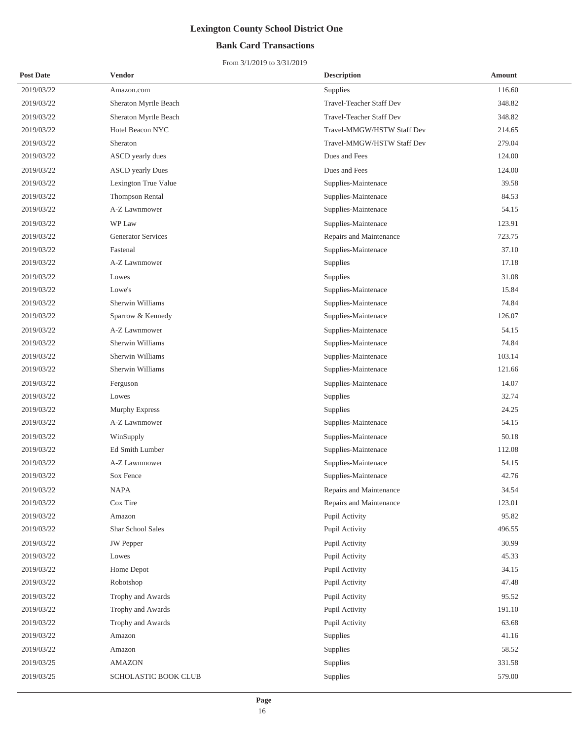## **Bank Card Transactions**

| <b>Post Date</b> | <b>Vendor</b>             | <b>Description</b>         | <b>Amount</b> |
|------------------|---------------------------|----------------------------|---------------|
| 2019/03/22       | Amazon.com                | Supplies                   | 116.60        |
| 2019/03/22       | Sheraton Myrtle Beach     | Travel-Teacher Staff Dev   | 348.82        |
| 2019/03/22       | Sheraton Myrtle Beach     | Travel-Teacher Staff Dev   | 348.82        |
| 2019/03/22       | Hotel Beacon NYC          | Travel-MMGW/HSTW Staff Dev | 214.65        |
| 2019/03/22       | Sheraton                  | Travel-MMGW/HSTW Staff Dev | 279.04        |
| 2019/03/22       | ASCD yearly dues          | Dues and Fees              | 124.00        |
| 2019/03/22       | <b>ASCD</b> yearly Dues   | Dues and Fees              | 124.00        |
| 2019/03/22       | Lexington True Value      | Supplies-Maintenace        | 39.58         |
| 2019/03/22       | Thompson Rental           | Supplies-Maintenace        | 84.53         |
| 2019/03/22       | A-Z Lawnmower             | Supplies-Maintenace        | 54.15         |
| 2019/03/22       | WP Law                    | Supplies-Maintenace        | 123.91        |
| 2019/03/22       | <b>Generator Services</b> | Repairs and Maintenance    | 723.75        |
| 2019/03/22       | Fastenal                  | Supplies-Maintenace        | 37.10         |
| 2019/03/22       | A-Z Lawnmower             | Supplies                   | 17.18         |
| 2019/03/22       | Lowes                     | Supplies                   | 31.08         |
| 2019/03/22       | Lowe's                    | Supplies-Maintenace        | 15.84         |
| 2019/03/22       | Sherwin Williams          | Supplies-Maintenace        | 74.84         |
| 2019/03/22       | Sparrow & Kennedy         | Supplies-Maintenace        | 126.07        |
| 2019/03/22       | A-Z Lawnmower             | Supplies-Maintenace        | 54.15         |
| 2019/03/22       | Sherwin Williams          | Supplies-Maintenace        | 74.84         |
| 2019/03/22       | Sherwin Williams          | Supplies-Maintenace        | 103.14        |
| 2019/03/22       | Sherwin Williams          | Supplies-Maintenace        | 121.66        |
| 2019/03/22       | Ferguson                  | Supplies-Maintenace        | 14.07         |
| 2019/03/22       | Lowes                     | Supplies                   | 32.74         |
| 2019/03/22       | Murphy Express            | Supplies                   | 24.25         |
| 2019/03/22       | A-Z Lawnmower             | Supplies-Maintenace        | 54.15         |
| 2019/03/22       | WinSupply                 | Supplies-Maintenace        | 50.18         |
| 2019/03/22       | Ed Smith Lumber           | Supplies-Maintenace        | 112.08        |
| 2019/03/22       | A-Z Lawnmower             | Supplies-Maintenace        | 54.15         |
| 2019/03/22       | Sox Fence                 | Supplies-Maintenace        | 42.76         |
| 2019/03/22       | <b>NAPA</b>               | Repairs and Maintenance    | 34.54         |
| 2019/03/22       | Cox Tire                  | Repairs and Maintenance    | 123.01        |
| 2019/03/22       | Amazon                    | Pupil Activity             | 95.82         |
| 2019/03/22       | Shar School Sales         | Pupil Activity             | 496.55        |
| 2019/03/22       | <b>JW</b> Pepper          | Pupil Activity             | 30.99         |
| 2019/03/22       | Lowes                     | Pupil Activity             | 45.33         |
| 2019/03/22       | Home Depot                | Pupil Activity             | 34.15         |
| 2019/03/22       | Robotshop                 | Pupil Activity             | 47.48         |
| 2019/03/22       | Trophy and Awards         | Pupil Activity             | 95.52         |
| 2019/03/22       | Trophy and Awards         | Pupil Activity             | 191.10        |
| 2019/03/22       | Trophy and Awards         | Pupil Activity             | 63.68         |
| 2019/03/22       | Amazon                    | Supplies                   | 41.16         |
| 2019/03/22       | Amazon                    | Supplies                   | 58.52         |
| 2019/03/25       | <b>AMAZON</b>             | Supplies                   | 331.58        |
| 2019/03/25       | SCHOLASTIC BOOK CLUB      | Supplies                   | 579.00        |
|                  |                           |                            |               |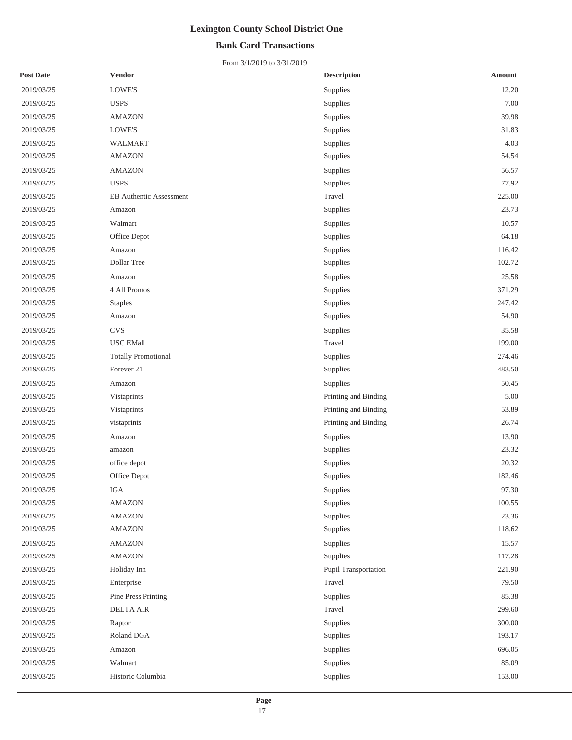## **Bank Card Transactions**

| <b>Post Date</b> | <b>Vendor</b>                  | <b>Description</b>   | <b>Amount</b> |
|------------------|--------------------------------|----------------------|---------------|
| 2019/03/25       | $\operatorname{LOWE'S}$        | Supplies             | 12.20         |
| 2019/03/25       | <b>USPS</b>                    | Supplies             | 7.00          |
| 2019/03/25       | <b>AMAZON</b>                  | Supplies             | 39.98         |
| 2019/03/25       | LOWE'S                         | Supplies             | 31.83         |
| 2019/03/25       | WALMART                        | Supplies             | 4.03          |
| 2019/03/25       | <b>AMAZON</b>                  | Supplies             | 54.54         |
| 2019/03/25       | <b>AMAZON</b>                  | Supplies             | 56.57         |
| 2019/03/25       | <b>USPS</b>                    | Supplies             | 77.92         |
| 2019/03/25       | <b>EB</b> Authentic Assessment | Travel               | 225.00        |
| 2019/03/25       | Amazon                         | Supplies             | 23.73         |
| 2019/03/25       | Walmart                        | Supplies             | 10.57         |
| 2019/03/25       | Office Depot                   | Supplies             | 64.18         |
| 2019/03/25       | Amazon                         | Supplies             | 116.42        |
| 2019/03/25       | Dollar Tree                    | Supplies             | 102.72        |
| 2019/03/25       | Amazon                         | Supplies             | 25.58         |
| 2019/03/25       | 4 All Promos                   | Supplies             | 371.29        |
| 2019/03/25       | <b>Staples</b>                 | Supplies             | 247.42        |
| 2019/03/25       | Amazon                         | Supplies             | 54.90         |
| 2019/03/25       | <b>CVS</b>                     | Supplies             | 35.58         |
| 2019/03/25       | <b>USC EMall</b>               | Travel               | 199.00        |
| 2019/03/25       | <b>Totally Promotional</b>     | Supplies             | 274.46        |
| 2019/03/25       | Forever 21                     | Supplies             | 483.50        |
| 2019/03/25       | Amazon                         | Supplies             | 50.45         |
| 2019/03/25       | Vistaprints                    | Printing and Binding | 5.00          |
| 2019/03/25       | Vistaprints                    | Printing and Binding | 53.89         |
| 2019/03/25       | vistaprints                    | Printing and Binding | 26.74         |
| 2019/03/25       | Amazon                         | Supplies             | 13.90         |
| 2019/03/25       | amazon                         | Supplies             | 23.32         |
| 2019/03/25       | office depot                   | Supplies             | 20.32         |
| 2019/03/25       | Office Depot                   | Supplies             | 182.46        |
| 2019/03/25       | IGA                            | Supplies             | 97.30         |
| 2019/03/25       | <b>AMAZON</b>                  | Supplies             | 100.55        |
| 2019/03/25       | <b>AMAZON</b>                  | Supplies             | 23.36         |
| 2019/03/25       | <b>AMAZON</b>                  | Supplies             | 118.62        |
| 2019/03/25       | <b>AMAZON</b>                  | Supplies             | 15.57         |
| 2019/03/25       | AMAZON                         | Supplies             | 117.28        |
| 2019/03/25       | Holiday Inn                    | Pupil Transportation | 221.90        |
| 2019/03/25       | Enterprise                     | Travel               | 79.50         |
| 2019/03/25       | Pine Press Printing            | Supplies             | 85.38         |
| 2019/03/25       | <b>DELTA AIR</b>               | Travel               | 299.60        |
| 2019/03/25       | Raptor                         | Supplies             | 300.00        |
| 2019/03/25       | Roland DGA                     | Supplies             | 193.17        |
| 2019/03/25       | Amazon                         | Supplies             | 696.05        |
| 2019/03/25       | Walmart                        | Supplies             | 85.09         |
| 2019/03/25       | Historic Columbia              | Supplies             | 153.00        |
|                  |                                |                      |               |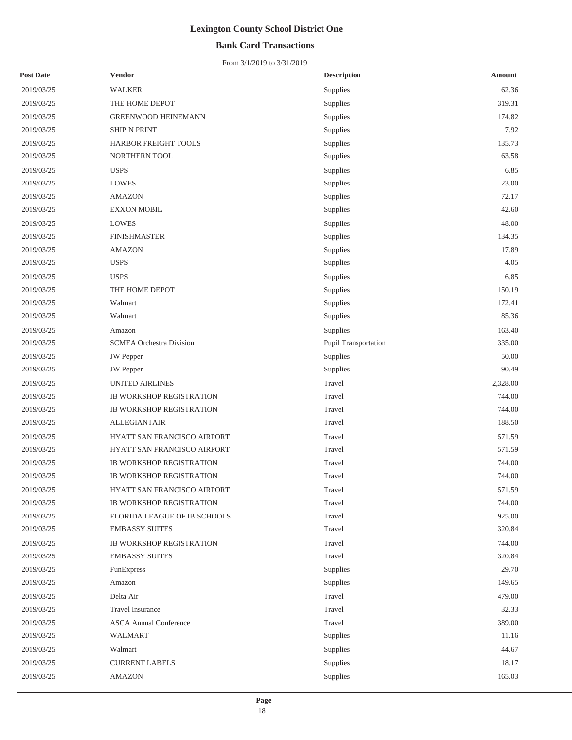## **Bank Card Transactions**

| <b>Post Date</b> | Vendor                          | <b>Description</b>   | <b>Amount</b> |
|------------------|---------------------------------|----------------------|---------------|
| 2019/03/25       | <b>WALKER</b>                   | Supplies             | 62.36         |
| 2019/03/25       | THE HOME DEPOT                  | Supplies             | 319.31        |
| 2019/03/25       | <b>GREENWOOD HEINEMANN</b>      | Supplies             | 174.82        |
| 2019/03/25       | <b>SHIP N PRINT</b>             | Supplies             | 7.92          |
| 2019/03/25       | HARBOR FREIGHT TOOLS            | Supplies             | 135.73        |
| 2019/03/25       | NORTHERN TOOL                   | Supplies             | 63.58         |
| 2019/03/25       | <b>USPS</b>                     | Supplies             | 6.85          |
| 2019/03/25       | <b>LOWES</b>                    | Supplies             | 23.00         |
| 2019/03/25       | <b>AMAZON</b>                   | Supplies             | 72.17         |
| 2019/03/25       | <b>EXXON MOBIL</b>              | Supplies             | 42.60         |
| 2019/03/25       | <b>LOWES</b>                    | Supplies             | 48.00         |
| 2019/03/25       | <b>FINISHMASTER</b>             | Supplies             | 134.35        |
| 2019/03/25       | <b>AMAZON</b>                   | Supplies             | 17.89         |
| 2019/03/25       | <b>USPS</b>                     | Supplies             | 4.05          |
| 2019/03/25       | <b>USPS</b>                     | Supplies             | 6.85          |
| 2019/03/25       | THE HOME DEPOT                  | Supplies             | 150.19        |
| 2019/03/25       | Walmart                         | Supplies             | 172.41        |
| 2019/03/25       | Walmart                         | Supplies             | 85.36         |
| 2019/03/25       | Amazon                          | Supplies             | 163.40        |
| 2019/03/25       | <b>SCMEA Orchestra Division</b> | Pupil Transportation | 335.00        |
| 2019/03/25       | JW Pepper                       | Supplies             | 50.00         |
| 2019/03/25       | <b>JW</b> Pepper                | Supplies             | 90.49         |
| 2019/03/25       | UNITED AIRLINES                 | Travel               | 2,328.00      |
| 2019/03/25       | <b>IB WORKSHOP REGISTRATION</b> | Travel               | 744.00        |
| 2019/03/25       | <b>IB WORKSHOP REGISTRATION</b> | Travel               | 744.00        |
| 2019/03/25       | <b>ALLEGIANTAIR</b>             | Travel               | 188.50        |
| 2019/03/25       | HYATT SAN FRANCISCO AIRPORT     | Travel               | 571.59        |
| 2019/03/25       | HYATT SAN FRANCISCO AIRPORT     | Travel               | 571.59        |
| 2019/03/25       | <b>IB WORKSHOP REGISTRATION</b> | Travel               | 744.00        |
| 2019/03/25       | <b>IB WORKSHOP REGISTRATION</b> | Travel               | 744.00        |
| 2019/03/25       | HYATT SAN FRANCISCO AIRPORT     | Travel               | 571.59        |
| 2019/03/25       | IB WORKSHOP REGISTRATION        | Travel               | 744.00        |
| 2019/03/25       | FLORIDA LEAGUE OF IB SCHOOLS    | Travel               | 925.00        |
| 2019/03/25       | <b>EMBASSY SUITES</b>           | Travel               | 320.84        |
| 2019/03/25       | <b>IB WORKSHOP REGISTRATION</b> | Travel               | 744.00        |
| 2019/03/25       | <b>EMBASSY SUITES</b>           | Travel               | 320.84        |
| 2019/03/25       | FunExpress                      | Supplies             | 29.70         |
| 2019/03/25       | Amazon                          | Supplies             | 149.65        |
| 2019/03/25       | Delta Air                       | Travel               | 479.00        |
| 2019/03/25       | <b>Travel Insurance</b>         | Travel               | 32.33         |
| 2019/03/25       | <b>ASCA Annual Conference</b>   | Travel               | 389.00        |
| 2019/03/25       | WALMART                         | Supplies             | 11.16         |
| 2019/03/25       | Walmart                         | Supplies             | 44.67         |
| 2019/03/25       | <b>CURRENT LABELS</b>           | Supplies             | 18.17         |
| 2019/03/25       | <b>AMAZON</b>                   | Supplies             | 165.03        |
|                  |                                 |                      |               |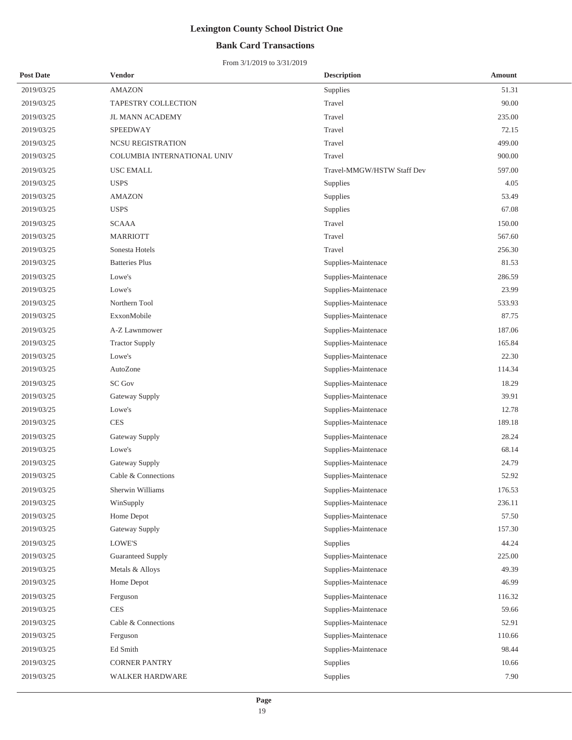## **Bank Card Transactions**

| <b>Post Date</b> | <b>Vendor</b>               | <b>Description</b>         | Amount |
|------------------|-----------------------------|----------------------------|--------|
| 2019/03/25       | <b>AMAZON</b>               | Supplies                   | 51.31  |
| 2019/03/25       | TAPESTRY COLLECTION         | Travel                     | 90.00  |
| 2019/03/25       | <b>JL MANN ACADEMY</b>      | Travel                     | 235.00 |
| 2019/03/25       | SPEEDWAY                    | Travel                     | 72.15  |
| 2019/03/25       | <b>NCSU REGISTRATION</b>    | Travel                     | 499.00 |
| 2019/03/25       | COLUMBIA INTERNATIONAL UNIV | Travel                     | 900.00 |
| 2019/03/25       | USC EMALL                   | Travel-MMGW/HSTW Staff Dev | 597.00 |
| 2019/03/25       | <b>USPS</b>                 | Supplies                   | 4.05   |
| 2019/03/25       | <b>AMAZON</b>               | Supplies                   | 53.49  |
| 2019/03/25       | <b>USPS</b>                 | Supplies                   | 67.08  |
| 2019/03/25       | <b>SCAAA</b>                | Travel                     | 150.00 |
| 2019/03/25       | <b>MARRIOTT</b>             | Travel                     | 567.60 |
| 2019/03/25       | Sonesta Hotels              | Travel                     | 256.30 |
| 2019/03/25       | <b>Batteries Plus</b>       | Supplies-Maintenace        | 81.53  |
| 2019/03/25       | Lowe's                      | Supplies-Maintenace        | 286.59 |
| 2019/03/25       | Lowe's                      | Supplies-Maintenace        | 23.99  |
| 2019/03/25       | Northern Tool               | Supplies-Maintenace        | 533.93 |
| 2019/03/25       | ExxonMobile                 | Supplies-Maintenace        | 87.75  |
| 2019/03/25       | A-Z Lawnmower               | Supplies-Maintenace        | 187.06 |
| 2019/03/25       | <b>Tractor Supply</b>       | Supplies-Maintenace        | 165.84 |
| 2019/03/25       | Lowe's                      | Supplies-Maintenace        | 22.30  |
| 2019/03/25       | AutoZone                    | Supplies-Maintenace        | 114.34 |
| 2019/03/25       | <b>SC Gov</b>               | Supplies-Maintenace        | 18.29  |
| 2019/03/25       | Gateway Supply              | Supplies-Maintenace        | 39.91  |
| 2019/03/25       | Lowe's                      | Supplies-Maintenace        | 12.78  |
| 2019/03/25       | <b>CES</b>                  | Supplies-Maintenace        | 189.18 |
| 2019/03/25       | Gateway Supply              | Supplies-Maintenace        | 28.24  |
| 2019/03/25       | Lowe's                      | Supplies-Maintenace        | 68.14  |
| 2019/03/25       | Gateway Supply              | Supplies-Maintenace        | 24.79  |
| 2019/03/25       | Cable & Connections         | Supplies-Maintenace        | 52.92  |
| 2019/03/25       | Sherwin Williams            | Supplies-Maintenace        | 176.53 |
| 2019/03/25       | WinSupply                   | Supplies-Maintenace        | 236.11 |
| 2019/03/25       | Home Depot                  | Supplies-Maintenace        | 57.50  |
| 2019/03/25       | Gateway Supply              | Supplies-Maintenace        | 157.30 |
| 2019/03/25       | LOWE'S                      | Supplies                   | 44.24  |
| 2019/03/25       | <b>Guaranteed Supply</b>    | Supplies-Maintenace        | 225.00 |
| 2019/03/25       | Metals & Alloys             | Supplies-Maintenace        | 49.39  |
| 2019/03/25       | Home Depot                  | Supplies-Maintenace        | 46.99  |
| 2019/03/25       | Ferguson                    | Supplies-Maintenace        | 116.32 |
| 2019/03/25       | <b>CES</b>                  | Supplies-Maintenace        | 59.66  |
| 2019/03/25       | Cable & Connections         | Supplies-Maintenace        | 52.91  |
| 2019/03/25       | Ferguson                    | Supplies-Maintenace        | 110.66 |
| 2019/03/25       | Ed Smith                    | Supplies-Maintenace        | 98.44  |
| 2019/03/25       | <b>CORNER PANTRY</b>        | Supplies                   | 10.66  |
| 2019/03/25       | WALKER HARDWARE             | Supplies                   | 7.90   |
|                  |                             |                            |        |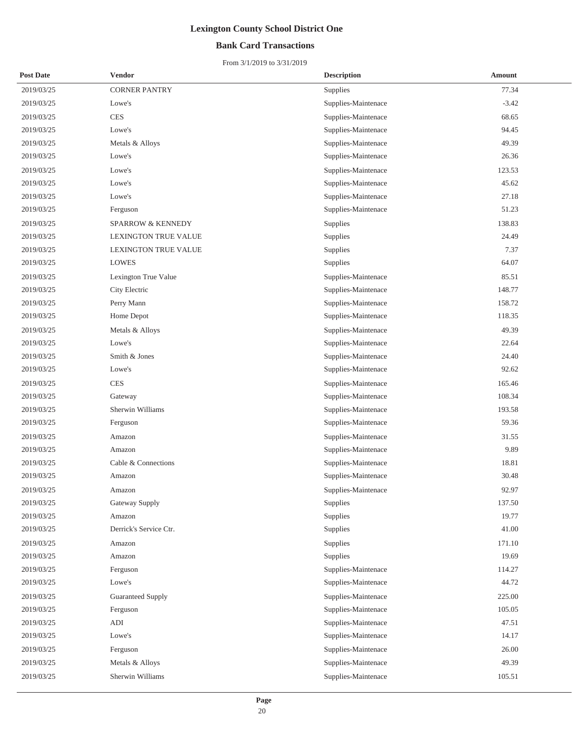## **Bank Card Transactions**

| <b>Post Date</b> | Vendor                       | <b>Description</b>  | <b>Amount</b> |
|------------------|------------------------------|---------------------|---------------|
| 2019/03/25       | <b>CORNER PANTRY</b>         | Supplies            | 77.34         |
| 2019/03/25       | Lowe's                       | Supplies-Maintenace | $-3.42$       |
| 2019/03/25       | <b>CES</b>                   | Supplies-Maintenace | 68.65         |
| 2019/03/25       | Lowe's                       | Supplies-Maintenace | 94.45         |
| 2019/03/25       | Metals & Alloys              | Supplies-Maintenace | 49.39         |
| 2019/03/25       | Lowe's                       | Supplies-Maintenace | 26.36         |
| 2019/03/25       | Lowe's                       | Supplies-Maintenace | 123.53        |
| 2019/03/25       | Lowe's                       | Supplies-Maintenace | 45.62         |
| 2019/03/25       | Lowe's                       | Supplies-Maintenace | 27.18         |
| 2019/03/25       | Ferguson                     | Supplies-Maintenace | 51.23         |
| 2019/03/25       | <b>SPARROW &amp; KENNEDY</b> | Supplies            | 138.83        |
| 2019/03/25       | LEXINGTON TRUE VALUE         | Supplies            | 24.49         |
| 2019/03/25       | LEXINGTON TRUE VALUE         | Supplies            | 7.37          |
| 2019/03/25       | LOWES                        | Supplies            | 64.07         |
| 2019/03/25       | Lexington True Value         | Supplies-Maintenace | 85.51         |
| 2019/03/25       | City Electric                | Supplies-Maintenace | 148.77        |
| 2019/03/25       | Perry Mann                   | Supplies-Maintenace | 158.72        |
| 2019/03/25       | Home Depot                   | Supplies-Maintenace | 118.35        |
| 2019/03/25       | Metals & Alloys              | Supplies-Maintenace | 49.39         |
| 2019/03/25       | Lowe's                       | Supplies-Maintenace | 22.64         |
| 2019/03/25       | Smith & Jones                | Supplies-Maintenace | 24.40         |
| 2019/03/25       | Lowe's                       | Supplies-Maintenace | 92.62         |
| 2019/03/25       | <b>CES</b>                   | Supplies-Maintenace | 165.46        |
| 2019/03/25       | Gateway                      | Supplies-Maintenace | 108.34        |
| 2019/03/25       | Sherwin Williams             | Supplies-Maintenace | 193.58        |
| 2019/03/25       | Ferguson                     | Supplies-Maintenace | 59.36         |
| 2019/03/25       | Amazon                       | Supplies-Maintenace | 31.55         |
| 2019/03/25       | Amazon                       | Supplies-Maintenace | 9.89          |
| 2019/03/25       | Cable & Connections          | Supplies-Maintenace | 18.81         |
| 2019/03/25       | Amazon                       | Supplies-Maintenace | 30.48         |
| 2019/03/25       | Amazon                       | Supplies-Maintenace | 92.97         |
| 2019/03/25       | Gateway Supply               | Supplies            | 137.50        |
| 2019/03/25       | Amazon                       | Supplies            | 19.77         |
| 2019/03/25       | Derrick's Service Ctr.       | Supplies            | 41.00         |
| 2019/03/25       | Amazon                       | Supplies            | 171.10        |
| 2019/03/25       | Amazon                       | Supplies            | 19.69         |
| 2019/03/25       | Ferguson                     | Supplies-Maintenace | 114.27        |
| 2019/03/25       | Lowe's                       | Supplies-Maintenace | 44.72         |
| 2019/03/25       | <b>Guaranteed Supply</b>     | Supplies-Maintenace | 225.00        |
| 2019/03/25       | Ferguson                     | Supplies-Maintenace | 105.05        |
| 2019/03/25       | ADI                          | Supplies-Maintenace | 47.51         |
| 2019/03/25       | Lowe's                       | Supplies-Maintenace | 14.17         |
| 2019/03/25       | Ferguson                     | Supplies-Maintenace | 26.00         |
| 2019/03/25       | Metals & Alloys              | Supplies-Maintenace | 49.39         |
| 2019/03/25       | Sherwin Williams             | Supplies-Maintenace | 105.51        |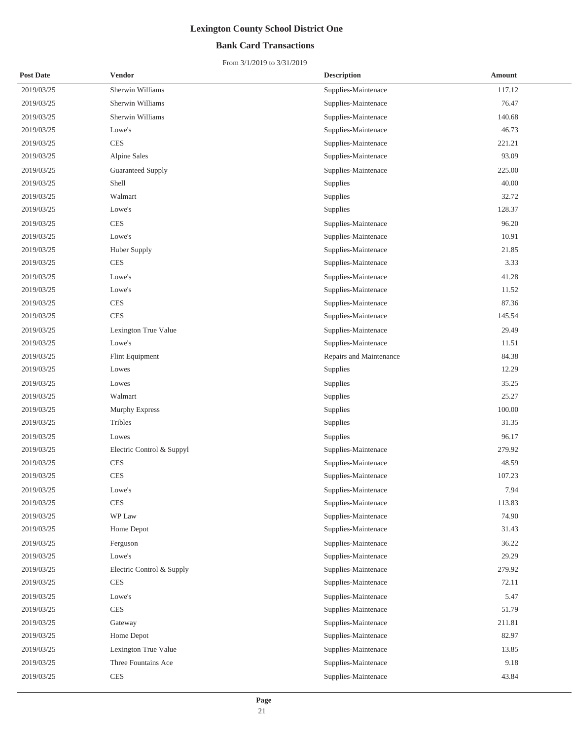## **Bank Card Transactions**

| Sherwin Williams<br>117.12<br>2019/03/25<br>Supplies-Maintenace<br>Sherwin Williams<br>76.47<br>2019/03/25<br>Supplies-Maintenace<br>2019/03/25<br>Sherwin Williams<br>Supplies-Maintenace<br>140.68<br>Supplies-Maintenace<br>46.73<br>2019/03/25<br>Lowe's<br><b>CES</b><br>221.21<br>2019/03/25<br>Supplies-Maintenace<br>93.09<br>2019/03/25<br>Alpine Sales<br>Supplies-Maintenace<br>225.00<br>2019/03/25<br><b>Guaranteed Supply</b><br>Supplies-Maintenace<br>Shell<br>40.00<br>2019/03/25<br>Supplies<br>32.72<br>2019/03/25<br>Walmart<br>Supplies<br>Supplies<br>128.37<br>2019/03/25<br>Lowe's<br><b>CES</b><br>96.20<br>2019/03/25<br>Supplies-Maintenace<br>Supplies-Maintenace<br>10.91<br>2019/03/25<br>Lowe's<br>21.85<br>2019/03/25<br>Huber Supply<br>Supplies-Maintenace<br>3.33<br>2019/03/25<br><b>CES</b><br>Supplies-Maintenace<br>Supplies-Maintenace<br>41.28<br>2019/03/25<br>Lowe's<br>2019/03/25<br>11.52<br>Lowe's<br>Supplies-Maintenace<br><b>CES</b><br>87.36<br>2019/03/25<br>Supplies-Maintenace<br><b>CES</b><br>145.54<br>2019/03/25<br>Supplies-Maintenace<br>29.49<br>2019/03/25<br>Lexington True Value<br>Supplies-Maintenace<br>Supplies-Maintenace<br>2019/03/25<br>Lowe's<br>11.51<br>84.38<br>2019/03/25<br>Flint Equipment<br>Repairs and Maintenance<br>12.29<br>2019/03/25<br>Lowes<br>Supplies<br>Supplies<br>35.25<br>2019/03/25<br>Lowes<br>25.27<br>2019/03/25<br>Walmart<br>Supplies<br>100.00<br>2019/03/25<br>Murphy Express<br>Supplies<br>Tribles<br>2019/03/25<br>Supplies<br>31.35<br>96.17<br>2019/03/25<br>Lowes<br>Supplies<br>279.92<br>2019/03/25<br>Electric Control & Suppyl<br>Supplies-Maintenace<br><b>CES</b><br>48.59<br>2019/03/25<br>Supplies-Maintenace<br><b>CES</b><br>Supplies-Maintenace<br>107.23<br>2019/03/25<br>7.94<br>2019/03/25<br>Lowe's<br>Supplies-Maintenace<br>2019/03/25<br><b>CES</b><br>Supplies-Maintenace<br>113.83<br>WP Law<br>Supplies-Maintenace<br>74.90<br>2019/03/25<br>31.43<br>2019/03/25<br>Home Depot<br>Supplies-Maintenace<br>Supplies-Maintenace<br>36.22<br>2019/03/25<br>Ferguson<br>Supplies-Maintenace<br>29.29<br>2019/03/25<br>Lowe's<br>Supplies-Maintenace<br>2019/03/25<br>Electric Control & Supply<br>279.92<br>2019/03/25<br><b>CES</b><br>Supplies-Maintenace<br>72.11<br>Supplies-Maintenace<br>2019/03/25<br>Lowe's<br>5.47<br>2019/03/25<br><b>CES</b><br>Supplies-Maintenace<br>51.79<br>Supplies-Maintenace<br>211.81<br>2019/03/25<br>Gateway<br>82.97<br>2019/03/25<br>Home Depot<br>Supplies-Maintenace<br>2019/03/25<br>Lexington True Value<br>Supplies-Maintenace<br>13.85<br>Three Fountains Ace<br>Supplies-Maintenace<br>9.18<br>2019/03/25<br>2019/03/25<br><b>CES</b><br>Supplies-Maintenace<br>43.84 | <b>Post Date</b> | <b>Vendor</b> | <b>Description</b> | <b>Amount</b> |
|-------------------------------------------------------------------------------------------------------------------------------------------------------------------------------------------------------------------------------------------------------------------------------------------------------------------------------------------------------------------------------------------------------------------------------------------------------------------------------------------------------------------------------------------------------------------------------------------------------------------------------------------------------------------------------------------------------------------------------------------------------------------------------------------------------------------------------------------------------------------------------------------------------------------------------------------------------------------------------------------------------------------------------------------------------------------------------------------------------------------------------------------------------------------------------------------------------------------------------------------------------------------------------------------------------------------------------------------------------------------------------------------------------------------------------------------------------------------------------------------------------------------------------------------------------------------------------------------------------------------------------------------------------------------------------------------------------------------------------------------------------------------------------------------------------------------------------------------------------------------------------------------------------------------------------------------------------------------------------------------------------------------------------------------------------------------------------------------------------------------------------------------------------------------------------------------------------------------------------------------------------------------------------------------------------------------------------------------------------------------------------------------------------------------------------------------------------------------------------------------------------------------------------------------------------------------------------------------------------------------------------------------------------------------------------------------------------------------------------------------------|------------------|---------------|--------------------|---------------|
|                                                                                                                                                                                                                                                                                                                                                                                                                                                                                                                                                                                                                                                                                                                                                                                                                                                                                                                                                                                                                                                                                                                                                                                                                                                                                                                                                                                                                                                                                                                                                                                                                                                                                                                                                                                                                                                                                                                                                                                                                                                                                                                                                                                                                                                                                                                                                                                                                                                                                                                                                                                                                                                                                                                                                 |                  |               |                    |               |
|                                                                                                                                                                                                                                                                                                                                                                                                                                                                                                                                                                                                                                                                                                                                                                                                                                                                                                                                                                                                                                                                                                                                                                                                                                                                                                                                                                                                                                                                                                                                                                                                                                                                                                                                                                                                                                                                                                                                                                                                                                                                                                                                                                                                                                                                                                                                                                                                                                                                                                                                                                                                                                                                                                                                                 |                  |               |                    |               |
|                                                                                                                                                                                                                                                                                                                                                                                                                                                                                                                                                                                                                                                                                                                                                                                                                                                                                                                                                                                                                                                                                                                                                                                                                                                                                                                                                                                                                                                                                                                                                                                                                                                                                                                                                                                                                                                                                                                                                                                                                                                                                                                                                                                                                                                                                                                                                                                                                                                                                                                                                                                                                                                                                                                                                 |                  |               |                    |               |
|                                                                                                                                                                                                                                                                                                                                                                                                                                                                                                                                                                                                                                                                                                                                                                                                                                                                                                                                                                                                                                                                                                                                                                                                                                                                                                                                                                                                                                                                                                                                                                                                                                                                                                                                                                                                                                                                                                                                                                                                                                                                                                                                                                                                                                                                                                                                                                                                                                                                                                                                                                                                                                                                                                                                                 |                  |               |                    |               |
|                                                                                                                                                                                                                                                                                                                                                                                                                                                                                                                                                                                                                                                                                                                                                                                                                                                                                                                                                                                                                                                                                                                                                                                                                                                                                                                                                                                                                                                                                                                                                                                                                                                                                                                                                                                                                                                                                                                                                                                                                                                                                                                                                                                                                                                                                                                                                                                                                                                                                                                                                                                                                                                                                                                                                 |                  |               |                    |               |
|                                                                                                                                                                                                                                                                                                                                                                                                                                                                                                                                                                                                                                                                                                                                                                                                                                                                                                                                                                                                                                                                                                                                                                                                                                                                                                                                                                                                                                                                                                                                                                                                                                                                                                                                                                                                                                                                                                                                                                                                                                                                                                                                                                                                                                                                                                                                                                                                                                                                                                                                                                                                                                                                                                                                                 |                  |               |                    |               |
|                                                                                                                                                                                                                                                                                                                                                                                                                                                                                                                                                                                                                                                                                                                                                                                                                                                                                                                                                                                                                                                                                                                                                                                                                                                                                                                                                                                                                                                                                                                                                                                                                                                                                                                                                                                                                                                                                                                                                                                                                                                                                                                                                                                                                                                                                                                                                                                                                                                                                                                                                                                                                                                                                                                                                 |                  |               |                    |               |
|                                                                                                                                                                                                                                                                                                                                                                                                                                                                                                                                                                                                                                                                                                                                                                                                                                                                                                                                                                                                                                                                                                                                                                                                                                                                                                                                                                                                                                                                                                                                                                                                                                                                                                                                                                                                                                                                                                                                                                                                                                                                                                                                                                                                                                                                                                                                                                                                                                                                                                                                                                                                                                                                                                                                                 |                  |               |                    |               |
|                                                                                                                                                                                                                                                                                                                                                                                                                                                                                                                                                                                                                                                                                                                                                                                                                                                                                                                                                                                                                                                                                                                                                                                                                                                                                                                                                                                                                                                                                                                                                                                                                                                                                                                                                                                                                                                                                                                                                                                                                                                                                                                                                                                                                                                                                                                                                                                                                                                                                                                                                                                                                                                                                                                                                 |                  |               |                    |               |
|                                                                                                                                                                                                                                                                                                                                                                                                                                                                                                                                                                                                                                                                                                                                                                                                                                                                                                                                                                                                                                                                                                                                                                                                                                                                                                                                                                                                                                                                                                                                                                                                                                                                                                                                                                                                                                                                                                                                                                                                                                                                                                                                                                                                                                                                                                                                                                                                                                                                                                                                                                                                                                                                                                                                                 |                  |               |                    |               |
|                                                                                                                                                                                                                                                                                                                                                                                                                                                                                                                                                                                                                                                                                                                                                                                                                                                                                                                                                                                                                                                                                                                                                                                                                                                                                                                                                                                                                                                                                                                                                                                                                                                                                                                                                                                                                                                                                                                                                                                                                                                                                                                                                                                                                                                                                                                                                                                                                                                                                                                                                                                                                                                                                                                                                 |                  |               |                    |               |
|                                                                                                                                                                                                                                                                                                                                                                                                                                                                                                                                                                                                                                                                                                                                                                                                                                                                                                                                                                                                                                                                                                                                                                                                                                                                                                                                                                                                                                                                                                                                                                                                                                                                                                                                                                                                                                                                                                                                                                                                                                                                                                                                                                                                                                                                                                                                                                                                                                                                                                                                                                                                                                                                                                                                                 |                  |               |                    |               |
|                                                                                                                                                                                                                                                                                                                                                                                                                                                                                                                                                                                                                                                                                                                                                                                                                                                                                                                                                                                                                                                                                                                                                                                                                                                                                                                                                                                                                                                                                                                                                                                                                                                                                                                                                                                                                                                                                                                                                                                                                                                                                                                                                                                                                                                                                                                                                                                                                                                                                                                                                                                                                                                                                                                                                 |                  |               |                    |               |
|                                                                                                                                                                                                                                                                                                                                                                                                                                                                                                                                                                                                                                                                                                                                                                                                                                                                                                                                                                                                                                                                                                                                                                                                                                                                                                                                                                                                                                                                                                                                                                                                                                                                                                                                                                                                                                                                                                                                                                                                                                                                                                                                                                                                                                                                                                                                                                                                                                                                                                                                                                                                                                                                                                                                                 |                  |               |                    |               |
|                                                                                                                                                                                                                                                                                                                                                                                                                                                                                                                                                                                                                                                                                                                                                                                                                                                                                                                                                                                                                                                                                                                                                                                                                                                                                                                                                                                                                                                                                                                                                                                                                                                                                                                                                                                                                                                                                                                                                                                                                                                                                                                                                                                                                                                                                                                                                                                                                                                                                                                                                                                                                                                                                                                                                 |                  |               |                    |               |
|                                                                                                                                                                                                                                                                                                                                                                                                                                                                                                                                                                                                                                                                                                                                                                                                                                                                                                                                                                                                                                                                                                                                                                                                                                                                                                                                                                                                                                                                                                                                                                                                                                                                                                                                                                                                                                                                                                                                                                                                                                                                                                                                                                                                                                                                                                                                                                                                                                                                                                                                                                                                                                                                                                                                                 |                  |               |                    |               |
|                                                                                                                                                                                                                                                                                                                                                                                                                                                                                                                                                                                                                                                                                                                                                                                                                                                                                                                                                                                                                                                                                                                                                                                                                                                                                                                                                                                                                                                                                                                                                                                                                                                                                                                                                                                                                                                                                                                                                                                                                                                                                                                                                                                                                                                                                                                                                                                                                                                                                                                                                                                                                                                                                                                                                 |                  |               |                    |               |
|                                                                                                                                                                                                                                                                                                                                                                                                                                                                                                                                                                                                                                                                                                                                                                                                                                                                                                                                                                                                                                                                                                                                                                                                                                                                                                                                                                                                                                                                                                                                                                                                                                                                                                                                                                                                                                                                                                                                                                                                                                                                                                                                                                                                                                                                                                                                                                                                                                                                                                                                                                                                                                                                                                                                                 |                  |               |                    |               |
|                                                                                                                                                                                                                                                                                                                                                                                                                                                                                                                                                                                                                                                                                                                                                                                                                                                                                                                                                                                                                                                                                                                                                                                                                                                                                                                                                                                                                                                                                                                                                                                                                                                                                                                                                                                                                                                                                                                                                                                                                                                                                                                                                                                                                                                                                                                                                                                                                                                                                                                                                                                                                                                                                                                                                 |                  |               |                    |               |
|                                                                                                                                                                                                                                                                                                                                                                                                                                                                                                                                                                                                                                                                                                                                                                                                                                                                                                                                                                                                                                                                                                                                                                                                                                                                                                                                                                                                                                                                                                                                                                                                                                                                                                                                                                                                                                                                                                                                                                                                                                                                                                                                                                                                                                                                                                                                                                                                                                                                                                                                                                                                                                                                                                                                                 |                  |               |                    |               |
|                                                                                                                                                                                                                                                                                                                                                                                                                                                                                                                                                                                                                                                                                                                                                                                                                                                                                                                                                                                                                                                                                                                                                                                                                                                                                                                                                                                                                                                                                                                                                                                                                                                                                                                                                                                                                                                                                                                                                                                                                                                                                                                                                                                                                                                                                                                                                                                                                                                                                                                                                                                                                                                                                                                                                 |                  |               |                    |               |
|                                                                                                                                                                                                                                                                                                                                                                                                                                                                                                                                                                                                                                                                                                                                                                                                                                                                                                                                                                                                                                                                                                                                                                                                                                                                                                                                                                                                                                                                                                                                                                                                                                                                                                                                                                                                                                                                                                                                                                                                                                                                                                                                                                                                                                                                                                                                                                                                                                                                                                                                                                                                                                                                                                                                                 |                  |               |                    |               |
|                                                                                                                                                                                                                                                                                                                                                                                                                                                                                                                                                                                                                                                                                                                                                                                                                                                                                                                                                                                                                                                                                                                                                                                                                                                                                                                                                                                                                                                                                                                                                                                                                                                                                                                                                                                                                                                                                                                                                                                                                                                                                                                                                                                                                                                                                                                                                                                                                                                                                                                                                                                                                                                                                                                                                 |                  |               |                    |               |
|                                                                                                                                                                                                                                                                                                                                                                                                                                                                                                                                                                                                                                                                                                                                                                                                                                                                                                                                                                                                                                                                                                                                                                                                                                                                                                                                                                                                                                                                                                                                                                                                                                                                                                                                                                                                                                                                                                                                                                                                                                                                                                                                                                                                                                                                                                                                                                                                                                                                                                                                                                                                                                                                                                                                                 |                  |               |                    |               |
|                                                                                                                                                                                                                                                                                                                                                                                                                                                                                                                                                                                                                                                                                                                                                                                                                                                                                                                                                                                                                                                                                                                                                                                                                                                                                                                                                                                                                                                                                                                                                                                                                                                                                                                                                                                                                                                                                                                                                                                                                                                                                                                                                                                                                                                                                                                                                                                                                                                                                                                                                                                                                                                                                                                                                 |                  |               |                    |               |
|                                                                                                                                                                                                                                                                                                                                                                                                                                                                                                                                                                                                                                                                                                                                                                                                                                                                                                                                                                                                                                                                                                                                                                                                                                                                                                                                                                                                                                                                                                                                                                                                                                                                                                                                                                                                                                                                                                                                                                                                                                                                                                                                                                                                                                                                                                                                                                                                                                                                                                                                                                                                                                                                                                                                                 |                  |               |                    |               |
|                                                                                                                                                                                                                                                                                                                                                                                                                                                                                                                                                                                                                                                                                                                                                                                                                                                                                                                                                                                                                                                                                                                                                                                                                                                                                                                                                                                                                                                                                                                                                                                                                                                                                                                                                                                                                                                                                                                                                                                                                                                                                                                                                                                                                                                                                                                                                                                                                                                                                                                                                                                                                                                                                                                                                 |                  |               |                    |               |
|                                                                                                                                                                                                                                                                                                                                                                                                                                                                                                                                                                                                                                                                                                                                                                                                                                                                                                                                                                                                                                                                                                                                                                                                                                                                                                                                                                                                                                                                                                                                                                                                                                                                                                                                                                                                                                                                                                                                                                                                                                                                                                                                                                                                                                                                                                                                                                                                                                                                                                                                                                                                                                                                                                                                                 |                  |               |                    |               |
|                                                                                                                                                                                                                                                                                                                                                                                                                                                                                                                                                                                                                                                                                                                                                                                                                                                                                                                                                                                                                                                                                                                                                                                                                                                                                                                                                                                                                                                                                                                                                                                                                                                                                                                                                                                                                                                                                                                                                                                                                                                                                                                                                                                                                                                                                                                                                                                                                                                                                                                                                                                                                                                                                                                                                 |                  |               |                    |               |
|                                                                                                                                                                                                                                                                                                                                                                                                                                                                                                                                                                                                                                                                                                                                                                                                                                                                                                                                                                                                                                                                                                                                                                                                                                                                                                                                                                                                                                                                                                                                                                                                                                                                                                                                                                                                                                                                                                                                                                                                                                                                                                                                                                                                                                                                                                                                                                                                                                                                                                                                                                                                                                                                                                                                                 |                  |               |                    |               |
|                                                                                                                                                                                                                                                                                                                                                                                                                                                                                                                                                                                                                                                                                                                                                                                                                                                                                                                                                                                                                                                                                                                                                                                                                                                                                                                                                                                                                                                                                                                                                                                                                                                                                                                                                                                                                                                                                                                                                                                                                                                                                                                                                                                                                                                                                                                                                                                                                                                                                                                                                                                                                                                                                                                                                 |                  |               |                    |               |
|                                                                                                                                                                                                                                                                                                                                                                                                                                                                                                                                                                                                                                                                                                                                                                                                                                                                                                                                                                                                                                                                                                                                                                                                                                                                                                                                                                                                                                                                                                                                                                                                                                                                                                                                                                                                                                                                                                                                                                                                                                                                                                                                                                                                                                                                                                                                                                                                                                                                                                                                                                                                                                                                                                                                                 |                  |               |                    |               |
|                                                                                                                                                                                                                                                                                                                                                                                                                                                                                                                                                                                                                                                                                                                                                                                                                                                                                                                                                                                                                                                                                                                                                                                                                                                                                                                                                                                                                                                                                                                                                                                                                                                                                                                                                                                                                                                                                                                                                                                                                                                                                                                                                                                                                                                                                                                                                                                                                                                                                                                                                                                                                                                                                                                                                 |                  |               |                    |               |
|                                                                                                                                                                                                                                                                                                                                                                                                                                                                                                                                                                                                                                                                                                                                                                                                                                                                                                                                                                                                                                                                                                                                                                                                                                                                                                                                                                                                                                                                                                                                                                                                                                                                                                                                                                                                                                                                                                                                                                                                                                                                                                                                                                                                                                                                                                                                                                                                                                                                                                                                                                                                                                                                                                                                                 |                  |               |                    |               |
|                                                                                                                                                                                                                                                                                                                                                                                                                                                                                                                                                                                                                                                                                                                                                                                                                                                                                                                                                                                                                                                                                                                                                                                                                                                                                                                                                                                                                                                                                                                                                                                                                                                                                                                                                                                                                                                                                                                                                                                                                                                                                                                                                                                                                                                                                                                                                                                                                                                                                                                                                                                                                                                                                                                                                 |                  |               |                    |               |
|                                                                                                                                                                                                                                                                                                                                                                                                                                                                                                                                                                                                                                                                                                                                                                                                                                                                                                                                                                                                                                                                                                                                                                                                                                                                                                                                                                                                                                                                                                                                                                                                                                                                                                                                                                                                                                                                                                                                                                                                                                                                                                                                                                                                                                                                                                                                                                                                                                                                                                                                                                                                                                                                                                                                                 |                  |               |                    |               |
|                                                                                                                                                                                                                                                                                                                                                                                                                                                                                                                                                                                                                                                                                                                                                                                                                                                                                                                                                                                                                                                                                                                                                                                                                                                                                                                                                                                                                                                                                                                                                                                                                                                                                                                                                                                                                                                                                                                                                                                                                                                                                                                                                                                                                                                                                                                                                                                                                                                                                                                                                                                                                                                                                                                                                 |                  |               |                    |               |
|                                                                                                                                                                                                                                                                                                                                                                                                                                                                                                                                                                                                                                                                                                                                                                                                                                                                                                                                                                                                                                                                                                                                                                                                                                                                                                                                                                                                                                                                                                                                                                                                                                                                                                                                                                                                                                                                                                                                                                                                                                                                                                                                                                                                                                                                                                                                                                                                                                                                                                                                                                                                                                                                                                                                                 |                  |               |                    |               |
|                                                                                                                                                                                                                                                                                                                                                                                                                                                                                                                                                                                                                                                                                                                                                                                                                                                                                                                                                                                                                                                                                                                                                                                                                                                                                                                                                                                                                                                                                                                                                                                                                                                                                                                                                                                                                                                                                                                                                                                                                                                                                                                                                                                                                                                                                                                                                                                                                                                                                                                                                                                                                                                                                                                                                 |                  |               |                    |               |
|                                                                                                                                                                                                                                                                                                                                                                                                                                                                                                                                                                                                                                                                                                                                                                                                                                                                                                                                                                                                                                                                                                                                                                                                                                                                                                                                                                                                                                                                                                                                                                                                                                                                                                                                                                                                                                                                                                                                                                                                                                                                                                                                                                                                                                                                                                                                                                                                                                                                                                                                                                                                                                                                                                                                                 |                  |               |                    |               |
|                                                                                                                                                                                                                                                                                                                                                                                                                                                                                                                                                                                                                                                                                                                                                                                                                                                                                                                                                                                                                                                                                                                                                                                                                                                                                                                                                                                                                                                                                                                                                                                                                                                                                                                                                                                                                                                                                                                                                                                                                                                                                                                                                                                                                                                                                                                                                                                                                                                                                                                                                                                                                                                                                                                                                 |                  |               |                    |               |
|                                                                                                                                                                                                                                                                                                                                                                                                                                                                                                                                                                                                                                                                                                                                                                                                                                                                                                                                                                                                                                                                                                                                                                                                                                                                                                                                                                                                                                                                                                                                                                                                                                                                                                                                                                                                                                                                                                                                                                                                                                                                                                                                                                                                                                                                                                                                                                                                                                                                                                                                                                                                                                                                                                                                                 |                  |               |                    |               |
|                                                                                                                                                                                                                                                                                                                                                                                                                                                                                                                                                                                                                                                                                                                                                                                                                                                                                                                                                                                                                                                                                                                                                                                                                                                                                                                                                                                                                                                                                                                                                                                                                                                                                                                                                                                                                                                                                                                                                                                                                                                                                                                                                                                                                                                                                                                                                                                                                                                                                                                                                                                                                                                                                                                                                 |                  |               |                    |               |
|                                                                                                                                                                                                                                                                                                                                                                                                                                                                                                                                                                                                                                                                                                                                                                                                                                                                                                                                                                                                                                                                                                                                                                                                                                                                                                                                                                                                                                                                                                                                                                                                                                                                                                                                                                                                                                                                                                                                                                                                                                                                                                                                                                                                                                                                                                                                                                                                                                                                                                                                                                                                                                                                                                                                                 |                  |               |                    |               |
|                                                                                                                                                                                                                                                                                                                                                                                                                                                                                                                                                                                                                                                                                                                                                                                                                                                                                                                                                                                                                                                                                                                                                                                                                                                                                                                                                                                                                                                                                                                                                                                                                                                                                                                                                                                                                                                                                                                                                                                                                                                                                                                                                                                                                                                                                                                                                                                                                                                                                                                                                                                                                                                                                                                                                 |                  |               |                    |               |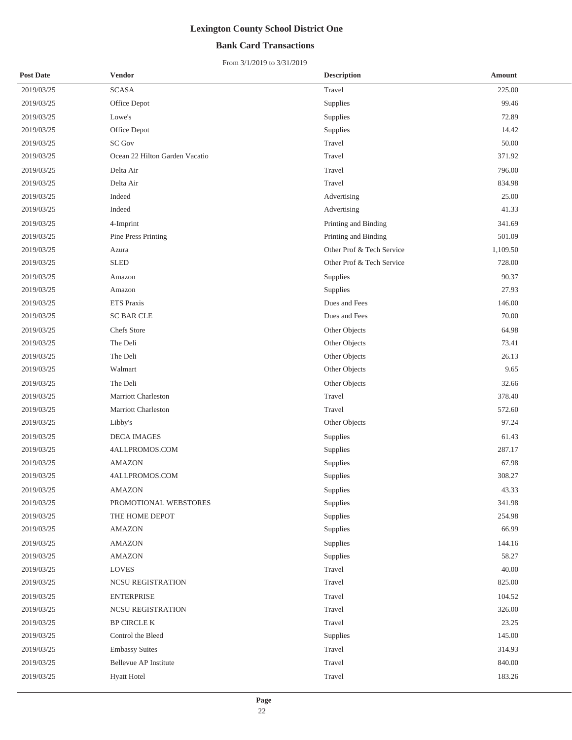## **Bank Card Transactions**

| <b>Post Date</b> | <b>Vendor</b>                  | <b>Description</b>        | <b>Amount</b> |
|------------------|--------------------------------|---------------------------|---------------|
| 2019/03/25       | <b>SCASA</b>                   | Travel                    | 225.00        |
| 2019/03/25       | Office Depot                   | Supplies                  | 99.46         |
| 2019/03/25       | Lowe's                         | Supplies                  | 72.89         |
| 2019/03/25       | Office Depot                   | Supplies                  | 14.42         |
| 2019/03/25       | <b>SC Gov</b>                  | Travel                    | 50.00         |
| 2019/03/25       | Ocean 22 Hilton Garden Vacatio | Travel                    | 371.92        |
| 2019/03/25       | Delta Air                      | Travel                    | 796.00        |
| 2019/03/25       | Delta Air                      | Travel                    | 834.98        |
| 2019/03/25       | Indeed                         | Advertising               | 25.00         |
| 2019/03/25       | Indeed                         | Advertising               | 41.33         |
| 2019/03/25       | 4-Imprint                      | Printing and Binding      | 341.69        |
| 2019/03/25       | Pine Press Printing            | Printing and Binding      | 501.09        |
| 2019/03/25       | Azura                          | Other Prof & Tech Service | 1,109.50      |
| 2019/03/25       | <b>SLED</b>                    | Other Prof & Tech Service | 728.00        |
| 2019/03/25       | Amazon                         | Supplies                  | 90.37         |
| 2019/03/25       | Amazon                         | Supplies                  | 27.93         |
| 2019/03/25       | <b>ETS Praxis</b>              | Dues and Fees             | 146.00        |
| 2019/03/25       | <b>SC BAR CLE</b>              | Dues and Fees             | 70.00         |
| 2019/03/25       | Chefs Store                    | Other Objects             | 64.98         |
| 2019/03/25       | The Deli                       | Other Objects             | 73.41         |
| 2019/03/25       | The Deli                       | Other Objects             | 26.13         |
| 2019/03/25       | Walmart                        | Other Objects             | 9.65          |
| 2019/03/25       | The Deli                       | Other Objects             | 32.66         |
| 2019/03/25       | Marriott Charleston            | Travel                    | 378.40        |
| 2019/03/25       | Marriott Charleston            | Travel                    | 572.60        |
| 2019/03/25       | Libby's                        | Other Objects             | 97.24         |
| 2019/03/25       | <b>DECA IMAGES</b>             | Supplies                  | 61.43         |
| 2019/03/25       | 4ALLPROMOS.COM                 | Supplies                  | 287.17        |
| 2019/03/25       | <b>AMAZON</b>                  | Supplies                  | 67.98         |
| 2019/03/25       | 4ALLPROMOS.COM                 | Supplies                  | 308.27        |
| 2019/03/25       | AMAZON                         | Supplies                  | 43.33         |
| 2019/03/25       | PROMOTIONAL WEBSTORES          | Supplies                  | 341.98        |
| 2019/03/25       | THE HOME DEPOT                 | Supplies                  | 254.98        |
| 2019/03/25       | <b>AMAZON</b>                  | Supplies                  | 66.99         |
| 2019/03/25       | <b>AMAZON</b>                  | Supplies                  | 144.16        |
| 2019/03/25       | <b>AMAZON</b>                  | Supplies                  | 58.27         |
| 2019/03/25       | <b>LOVES</b>                   | Travel                    | 40.00         |
| 2019/03/25       | NCSU REGISTRATION              | Travel                    | 825.00        |
| 2019/03/25       | <b>ENTERPRISE</b>              | Travel                    | 104.52        |
| 2019/03/25       | NCSU REGISTRATION              | Travel                    | 326.00        |
| 2019/03/25       | BP CIRCLE K                    | Travel                    | 23.25         |
| 2019/03/25       | Control the Bleed              | Supplies                  | 145.00        |
| 2019/03/25       | <b>Embassy Suites</b>          | Travel                    | 314.93        |
| 2019/03/25       | Bellevue AP Institute          | Travel                    | 840.00        |
| 2019/03/25       | <b>Hyatt Hotel</b>             | Travel                    | 183.26        |
|                  |                                |                           |               |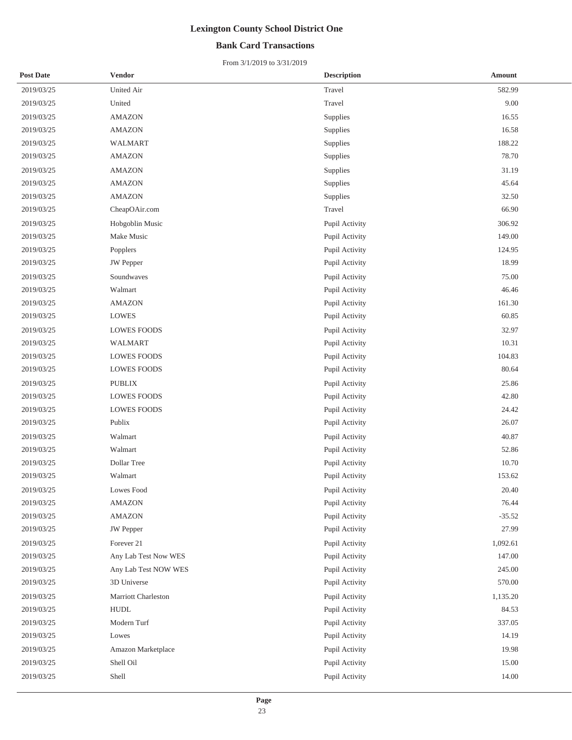## **Bank Card Transactions**

| <b>Post Date</b> | <b>Vendor</b>        | <b>Description</b> | <b>Amount</b> |
|------------------|----------------------|--------------------|---------------|
| 2019/03/25       | United Air           | Travel             | 582.99        |
| 2019/03/25       | United               | Travel             | 9.00          |
| 2019/03/25       | <b>AMAZON</b>        | Supplies           | 16.55         |
| 2019/03/25       | <b>AMAZON</b>        | Supplies           | 16.58         |
| 2019/03/25       | <b>WALMART</b>       | Supplies           | 188.22        |
| 2019/03/25       | <b>AMAZON</b>        | Supplies           | 78.70         |
| 2019/03/25       | <b>AMAZON</b>        | Supplies           | 31.19         |
| 2019/03/25       | <b>AMAZON</b>        | Supplies           | 45.64         |
| 2019/03/25       | <b>AMAZON</b>        | Supplies           | 32.50         |
| 2019/03/25       | CheapOAir.com        | Travel             | 66.90         |
| 2019/03/25       | Hobgoblin Music      | Pupil Activity     | 306.92        |
| 2019/03/25       | Make Music           | Pupil Activity     | 149.00        |
| 2019/03/25       | Popplers             | Pupil Activity     | 124.95        |
| 2019/03/25       | JW Pepper            | Pupil Activity     | 18.99         |
| 2019/03/25       | Soundwaves           | Pupil Activity     | 75.00         |
| 2019/03/25       | Walmart              | Pupil Activity     | 46.46         |
| 2019/03/25       | <b>AMAZON</b>        | Pupil Activity     | 161.30        |
| 2019/03/25       | <b>LOWES</b>         | Pupil Activity     | 60.85         |
| 2019/03/25       | <b>LOWES FOODS</b>   | Pupil Activity     | 32.97         |
| 2019/03/25       | <b>WALMART</b>       | Pupil Activity     | 10.31         |
| 2019/03/25       | <b>LOWES FOODS</b>   | Pupil Activity     | 104.83        |
| 2019/03/25       | <b>LOWES FOODS</b>   | Pupil Activity     | 80.64         |
| 2019/03/25       | <b>PUBLIX</b>        | Pupil Activity     | 25.86         |
| 2019/03/25       | <b>LOWES FOODS</b>   | Pupil Activity     | 42.80         |
| 2019/03/25       | <b>LOWES FOODS</b>   | Pupil Activity     | 24.42         |
| 2019/03/25       | Publix               | Pupil Activity     | 26.07         |
| 2019/03/25       | Walmart              | Pupil Activity     | 40.87         |
| 2019/03/25       | Walmart              | Pupil Activity     | 52.86         |
| 2019/03/25       | Dollar Tree          | Pupil Activity     | 10.70         |
| 2019/03/25       | Walmart              | Pupil Activity     | 153.62        |
| 2019/03/25       | Lowes Food           | Pupil Activity     | 20.40         |
| 2019/03/25       | AMAZON               | Pupil Activity     | 76.44         |
| 2019/03/25       | <b>AMAZON</b>        | Pupil Activity     | $-35.52$      |
| 2019/03/25       | JW Pepper            | Pupil Activity     | 27.99         |
| 2019/03/25       | Forever 21           | Pupil Activity     | 1,092.61      |
| 2019/03/25       | Any Lab Test Now WES | Pupil Activity     | 147.00        |
| 2019/03/25       | Any Lab Test NOW WES | Pupil Activity     | 245.00        |
| 2019/03/25       | 3D Universe          | Pupil Activity     | 570.00        |
| 2019/03/25       | Marriott Charleston  | Pupil Activity     | 1,135.20      |
| 2019/03/25       | <b>HUDL</b>          | Pupil Activity     | 84.53         |
| 2019/03/25       | Modern Turf          | Pupil Activity     | 337.05        |
| 2019/03/25       | Lowes                | Pupil Activity     | 14.19         |
| 2019/03/25       | Amazon Marketplace   | Pupil Activity     | 19.98         |
| 2019/03/25       | Shell Oil            | Pupil Activity     | 15.00         |
| 2019/03/25       | Shell                | Pupil Activity     | 14.00         |
|                  |                      |                    |               |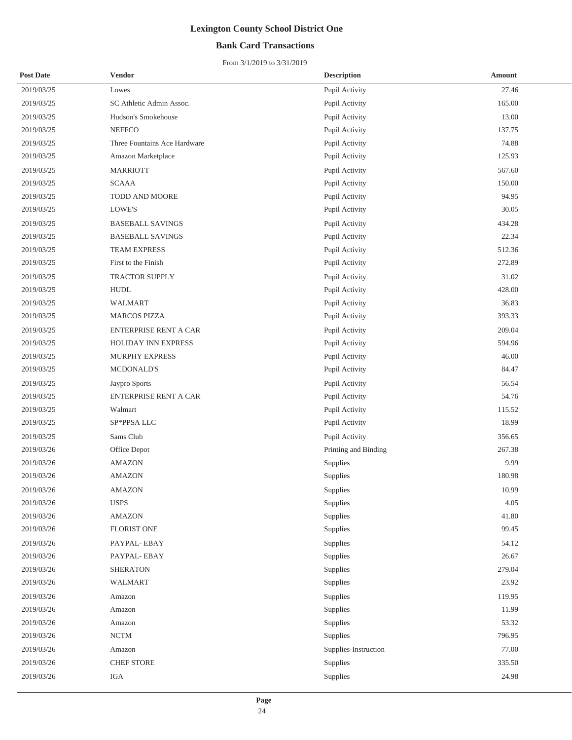## **Bank Card Transactions**

| <b>Post Date</b> | <b>Vendor</b>                | <b>Description</b>   | <b>Amount</b> |
|------------------|------------------------------|----------------------|---------------|
| 2019/03/25       | Lowes                        | Pupil Activity       | 27.46         |
| 2019/03/25       | SC Athletic Admin Assoc.     | Pupil Activity       | 165.00        |
| 2019/03/25       | Hudson's Smokehouse          | Pupil Activity       | 13.00         |
| 2019/03/25       | <b>NEFFCO</b>                | Pupil Activity       | 137.75        |
| 2019/03/25       | Three Fountains Ace Hardware | Pupil Activity       | 74.88         |
| 2019/03/25       | Amazon Marketplace           | Pupil Activity       | 125.93        |
| 2019/03/25       | <b>MARRIOTT</b>              | Pupil Activity       | 567.60        |
| 2019/03/25       | <b>SCAAA</b>                 | Pupil Activity       | 150.00        |
| 2019/03/25       | TODD AND MOORE               | Pupil Activity       | 94.95         |
| 2019/03/25       | LOWE'S                       | Pupil Activity       | 30.05         |
| 2019/03/25       | <b>BASEBALL SAVINGS</b>      | Pupil Activity       | 434.28        |
| 2019/03/25       | <b>BASEBALL SAVINGS</b>      | Pupil Activity       | 22.34         |
| 2019/03/25       | TEAM EXPRESS                 | Pupil Activity       | 512.36        |
| 2019/03/25       | First to the Finish          | Pupil Activity       | 272.89        |
| 2019/03/25       | TRACTOR SUPPLY               | Pupil Activity       | 31.02         |
| 2019/03/25       | <b>HUDL</b>                  | Pupil Activity       | 428.00        |
| 2019/03/25       | <b>WALMART</b>               | Pupil Activity       | 36.83         |
| 2019/03/25       | <b>MARCOS PIZZA</b>          | Pupil Activity       | 393.33        |
| 2019/03/25       | ENTERPRISE RENT A CAR        | Pupil Activity       | 209.04        |
| 2019/03/25       | HOLIDAY INN EXPRESS          | Pupil Activity       | 594.96        |
| 2019/03/25       | MURPHY EXPRESS               | Pupil Activity       | 46.00         |
| 2019/03/25       | <b>MCDONALD'S</b>            | Pupil Activity       | 84.47         |
| 2019/03/25       | Jaypro Sports                | Pupil Activity       | 56.54         |
| 2019/03/25       | ENTERPRISE RENT A CAR        | Pupil Activity       | 54.76         |
| 2019/03/25       | Walmart                      | Pupil Activity       | 115.52        |
| 2019/03/25       | SP*PPSA LLC                  | Pupil Activity       | 18.99         |
| 2019/03/25       | Sams Club                    | Pupil Activity       | 356.65        |
| 2019/03/26       | Office Depot                 | Printing and Binding | 267.38        |
| 2019/03/26       | <b>AMAZON</b>                | Supplies             | 9.99          |
| 2019/03/26       | <b>AMAZON</b>                | Supplies             | 180.98        |
| 2019/03/26       | <b>AMAZON</b>                | Supplies             | 10.99         |
| 2019/03/26       | <b>USPS</b>                  | Supplies             | 4.05          |
| 2019/03/26       | <b>AMAZON</b>                | Supplies             | 41.80         |
| 2019/03/26       | <b>FLORIST ONE</b>           | Supplies             | 99.45         |
| 2019/03/26       | PAYPAL-EBAY                  | Supplies             | 54.12         |
| 2019/03/26       | PAYPAL-EBAY                  | Supplies             | 26.67         |
| 2019/03/26       | <b>SHERATON</b>              | Supplies             | 279.04        |
| 2019/03/26       | <b>WALMART</b>               | Supplies             | 23.92         |
| 2019/03/26       | Amazon                       | Supplies             | 119.95        |
| 2019/03/26       | Amazon                       | Supplies             | 11.99         |
| 2019/03/26       | Amazon                       | Supplies             | 53.32         |
| 2019/03/26       | <b>NCTM</b>                  | Supplies             | 796.95        |
| 2019/03/26       | Amazon                       | Supplies-Instruction | 77.00         |
| 2019/03/26       | <b>CHEF STORE</b>            | Supplies             | 335.50        |
| 2019/03/26       | IGA                          | Supplies             | 24.98         |
|                  |                              |                      |               |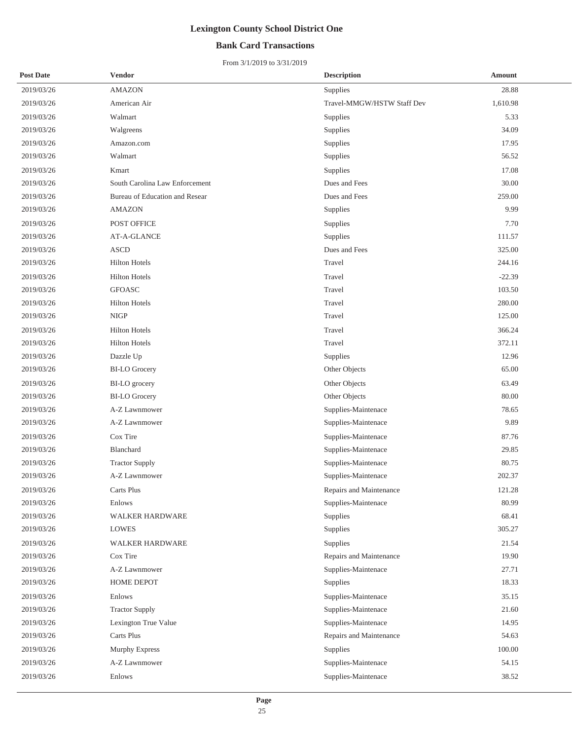## **Bank Card Transactions**

| <b>Post Date</b> | <b>Vendor</b>                  | <b>Description</b>         | Amount   |
|------------------|--------------------------------|----------------------------|----------|
| 2019/03/26       | <b>AMAZON</b>                  | Supplies                   | 28.88    |
| 2019/03/26       | American Air                   | Travel-MMGW/HSTW Staff Dev | 1,610.98 |
| 2019/03/26       | Walmart                        | Supplies                   | 5.33     |
| 2019/03/26       | Walgreens                      | Supplies                   | 34.09    |
| 2019/03/26       | Amazon.com                     | Supplies                   | 17.95    |
| 2019/03/26       | Walmart                        | Supplies                   | 56.52    |
| 2019/03/26       | Kmart                          | Supplies                   | 17.08    |
| 2019/03/26       | South Carolina Law Enforcement | Dues and Fees              | 30.00    |
| 2019/03/26       | Bureau of Education and Resear | Dues and Fees              | 259.00   |
| 2019/03/26       | <b>AMAZON</b>                  | Supplies                   | 9.99     |
| 2019/03/26       | POST OFFICE                    | Supplies                   | 7.70     |
| 2019/03/26       | AT-A-GLANCE                    | Supplies                   | 111.57   |
| 2019/03/26       | <b>ASCD</b>                    | Dues and Fees              | 325.00   |
| 2019/03/26       | <b>Hilton Hotels</b>           | Travel                     | 244.16   |
| 2019/03/26       | <b>Hilton Hotels</b>           | Travel                     | $-22.39$ |
| 2019/03/26       | <b>GFOASC</b>                  | Travel                     | 103.50   |
| 2019/03/26       | <b>Hilton Hotels</b>           | Travel                     | 280.00   |
| 2019/03/26       | <b>NIGP</b>                    | Travel                     | 125.00   |
| 2019/03/26       | <b>Hilton Hotels</b>           | Travel                     | 366.24   |
| 2019/03/26       | <b>Hilton Hotels</b>           | Travel                     | 372.11   |
| 2019/03/26       | Dazzle Up                      | Supplies                   | 12.96    |
| 2019/03/26       | <b>BI-LO</b> Grocery           | Other Objects              | 65.00    |
| 2019/03/26       | BI-LO grocery                  | Other Objects              | 63.49    |
| 2019/03/26       | <b>BI-LO Grocery</b>           | Other Objects              | 80.00    |
| 2019/03/26       | A-Z Lawnmower                  | Supplies-Maintenace        | 78.65    |
| 2019/03/26       | A-Z Lawnmower                  | Supplies-Maintenace        | 9.89     |
| 2019/03/26       | Cox Tire                       | Supplies-Maintenace        | 87.76    |
| 2019/03/26       | Blanchard                      | Supplies-Maintenace        | 29.85    |
| 2019/03/26       | <b>Tractor Supply</b>          | Supplies-Maintenace        | 80.75    |
| 2019/03/26       | A-Z Lawnmower                  | Supplies-Maintenace        | 202.37   |
| 2019/03/26       | Carts Plus                     | Repairs and Maintenance    | 121.28   |
| 2019/03/26       | Enlows                         | Supplies-Maintenace        | 80.99    |
| 2019/03/26       | WALKER HARDWARE                | Supplies                   | 68.41    |
| 2019/03/26       | <b>LOWES</b>                   | Supplies                   | 305.27   |
| 2019/03/26       | <b>WALKER HARDWARE</b>         | Supplies                   | 21.54    |
| 2019/03/26       | Cox Tire                       | Repairs and Maintenance    | 19.90    |
| 2019/03/26       | A-Z Lawnmower                  | Supplies-Maintenace        | 27.71    |
| 2019/03/26       | HOME DEPOT                     | Supplies                   | 18.33    |
| 2019/03/26       | Enlows                         | Supplies-Maintenace        | 35.15    |
| 2019/03/26       | <b>Tractor Supply</b>          | Supplies-Maintenace        | 21.60    |
| 2019/03/26       | Lexington True Value           | Supplies-Maintenace        | 14.95    |
| 2019/03/26       | Carts Plus                     | Repairs and Maintenance    | 54.63    |
| 2019/03/26       | Murphy Express                 | Supplies                   | 100.00   |
| 2019/03/26       | A-Z Lawnmower                  | Supplies-Maintenace        | 54.15    |
| 2019/03/26       | Enlows                         | Supplies-Maintenace        | 38.52    |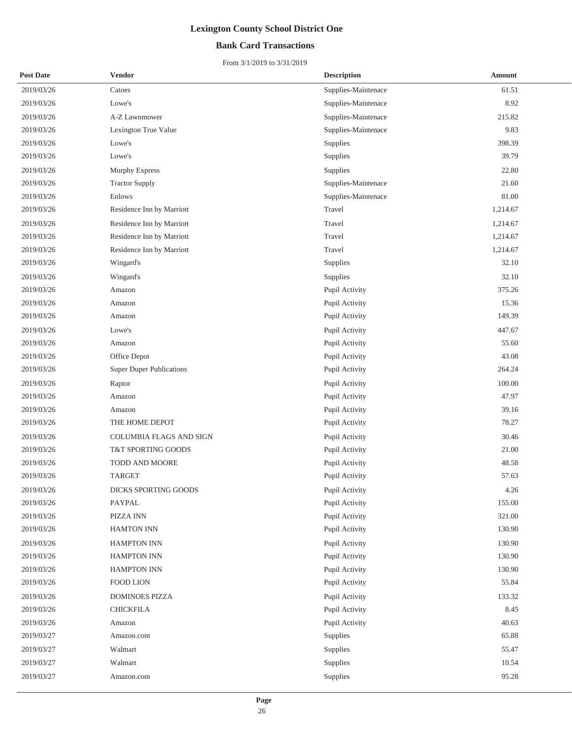## **Bank Card Transactions**

| <b>Post Date</b> | <b>Vendor</b>                   | <b>Description</b>  | <b>Amount</b> |
|------------------|---------------------------------|---------------------|---------------|
| 2019/03/26       | Catoes                          | Supplies-Maintenace | 61.51         |
| 2019/03/26       | Lowe's                          | Supplies-Maintenace | 8.92          |
| 2019/03/26       | A-Z Lawnmower                   | Supplies-Maintenace | 215.82        |
| 2019/03/26       | Lexington True Value            | Supplies-Maintenace | 9.83          |
| 2019/03/26       | Lowe's                          | Supplies            | 398.39        |
| 2019/03/26       | Lowe's                          | Supplies            | 39.79         |
| 2019/03/26       | Murphy Express                  | Supplies            | 22.80         |
| 2019/03/26       | <b>Tractor Supply</b>           | Supplies-Maintenace | 21.60         |
| 2019/03/26       | Enlows                          | Supplies-Maintenace | 81.00         |
| 2019/03/26       | Residence Inn by Marriott       | Travel              | 1,214.67      |
| 2019/03/26       | Residence Inn by Marriott       | Travel              | 1,214.67      |
| 2019/03/26       | Residence Inn by Marriott       | Travel              | 1,214.67      |
| 2019/03/26       | Residence Inn by Marriott       | Travel              | 1,214.67      |
| 2019/03/26       | Wingard's                       | Supplies            | 32.10         |
| 2019/03/26       | Wingard's                       | Supplies            | 32.10         |
| 2019/03/26       | Amazon                          | Pupil Activity      | 375.26        |
| 2019/03/26       | Amazon                          | Pupil Activity      | 15.36         |
| 2019/03/26       | Amazon                          | Pupil Activity      | 149.39        |
| 2019/03/26       | Lowe's                          | Pupil Activity      | 447.67        |
| 2019/03/26       | Amazon                          | Pupil Activity      | 55.60         |
| 2019/03/26       | Office Depot                    | Pupil Activity      | 43.08         |
| 2019/03/26       | <b>Super Duper Publications</b> | Pupil Activity      | 264.24        |
| 2019/03/26       | Raptor                          | Pupil Activity      | 100.00        |
| 2019/03/26       | Amazon                          | Pupil Activity      | 47.97         |
| 2019/03/26       | Amazon                          | Pupil Activity      | 39.16         |
| 2019/03/26       | THE HOME DEPOT                  | Pupil Activity      | 78.27         |
| 2019/03/26       | <b>COLUMBIA FLAGS AND SIGN</b>  | Pupil Activity      | 30.46         |
| 2019/03/26       | T&T SPORTING GOODS              | Pupil Activity      | 21.00         |
| 2019/03/26       | TODD AND MOORE                  | Pupil Activity      | 48.58         |
| 2019/03/26       | <b>TARGET</b>                   | Pupil Activity      | 57.63         |
| 2019/03/26       | DICKS SPORTING GOODS            | Pupil Activity      | 4.26          |
| 2019/03/26       | PAYPAL                          | Pupil Activity      | 155.00        |
| 2019/03/26       | PIZZA INN                       | Pupil Activity      | 321.00        |
| 2019/03/26       | <b>HAMTON INN</b>               | Pupil Activity      | 130.90        |
| 2019/03/26       | <b>HAMPTON INN</b>              | Pupil Activity      | 130.90        |
| 2019/03/26       | <b>HAMPTON INN</b>              | Pupil Activity      | 130.90        |
| 2019/03/26       | <b>HAMPTON INN</b>              | Pupil Activity      | 130.90        |
| 2019/03/26       | FOOD LION                       | Pupil Activity      | 55.84         |
| 2019/03/26       | <b>DOMINOES PIZZA</b>           | Pupil Activity      | 133.32        |
| 2019/03/26       | <b>CHICKFILA</b>                | Pupil Activity      | 8.45          |
| 2019/03/26       | Amazon                          | Pupil Activity      | 40.63         |
| 2019/03/27       | Amazon.com                      | Supplies            | 65.88         |
| 2019/03/27       | Walmart                         | Supplies            | 55.47         |
| 2019/03/27       | Walmart                         | Supplies            | 10.54         |
| 2019/03/27       | Amazon.com                      | Supplies            | 95.28         |
|                  |                                 |                     |               |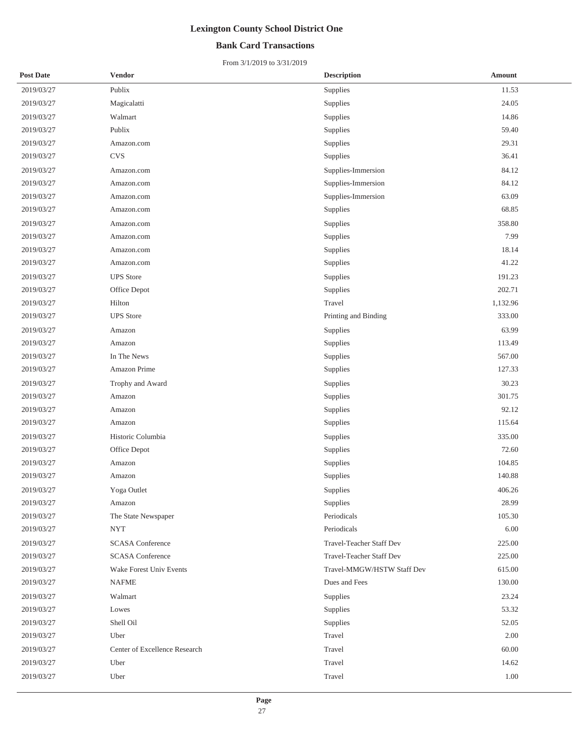## **Bank Card Transactions**

| <b>Post Date</b> | <b>Vendor</b>                 | <b>Description</b>         | <b>Amount</b> |
|------------------|-------------------------------|----------------------------|---------------|
| 2019/03/27       | Publix                        | Supplies                   | 11.53         |
| 2019/03/27       | Magicalatti                   | Supplies                   | 24.05         |
| 2019/03/27       | Walmart                       | Supplies                   | 14.86         |
| 2019/03/27       | Publix                        | Supplies                   | 59.40         |
| 2019/03/27       | Amazon.com                    | Supplies                   | 29.31         |
| 2019/03/27       | <b>CVS</b>                    | Supplies                   | 36.41         |
| 2019/03/27       | Amazon.com                    | Supplies-Immersion         | 84.12         |
| 2019/03/27       | Amazon.com                    | Supplies-Immersion         | 84.12         |
| 2019/03/27       | Amazon.com                    | Supplies-Immersion         | 63.09         |
| 2019/03/27       | Amazon.com                    | Supplies                   | 68.85         |
| 2019/03/27       | Amazon.com                    | Supplies                   | 358.80        |
| 2019/03/27       | Amazon.com                    | Supplies                   | 7.99          |
| 2019/03/27       | Amazon.com                    | Supplies                   | 18.14         |
| 2019/03/27       | Amazon.com                    | Supplies                   | 41.22         |
| 2019/03/27       | <b>UPS</b> Store              | Supplies                   | 191.23        |
| 2019/03/27       | Office Depot                  | Supplies                   | 202.71        |
| 2019/03/27       | Hilton                        | Travel                     | 1,132.96      |
| 2019/03/27       | <b>UPS</b> Store              | Printing and Binding       | 333.00        |
| 2019/03/27       | Amazon                        | Supplies                   | 63.99         |
| 2019/03/27       | Amazon                        | Supplies                   | 113.49        |
| 2019/03/27       | In The News                   | Supplies                   | 567.00        |
| 2019/03/27       | Amazon Prime                  | Supplies                   | 127.33        |
| 2019/03/27       | Trophy and Award              | Supplies                   | 30.23         |
| 2019/03/27       | Amazon                        | Supplies                   | 301.75        |
| 2019/03/27       | Amazon                        | Supplies                   | 92.12         |
| 2019/03/27       | Amazon                        | Supplies                   | 115.64        |
| 2019/03/27       | Historic Columbia             | Supplies                   | 335.00        |
| 2019/03/27       | Office Depot                  | Supplies                   | 72.60         |
| 2019/03/27       | Amazon                        | Supplies                   | 104.85        |
| 2019/03/27       | Amazon                        | Supplies                   | 140.88        |
| 2019/03/27       | Yoga Outlet                   | Supplies                   | 406.26        |
| 2019/03/27       | Amazon                        | Supplies                   | 28.99         |
| 2019/03/27       | The State Newspaper           | Periodicals                | 105.30        |
| 2019/03/27       | <b>NYT</b>                    | Periodicals                | 6.00          |
| 2019/03/27       | <b>SCASA</b> Conference       | Travel-Teacher Staff Dev   | 225.00        |
| 2019/03/27       | <b>SCASA</b> Conference       | Travel-Teacher Staff Dev   | 225.00        |
| 2019/03/27       | Wake Forest Univ Events       | Travel-MMGW/HSTW Staff Dev | 615.00        |
| 2019/03/27       | NAFME                         | Dues and Fees              | 130.00        |
| 2019/03/27       | Walmart                       | Supplies                   | 23.24         |
| 2019/03/27       | Lowes                         | Supplies                   | 53.32         |
| 2019/03/27       | Shell Oil                     | Supplies                   | 52.05         |
| 2019/03/27       | Uber                          | Travel                     | 2.00          |
| 2019/03/27       | Center of Excellence Research | Travel                     | 60.00         |
| 2019/03/27       | Uber                          | Travel                     | 14.62         |
| 2019/03/27       | Uber                          | Travel                     | 1.00          |
|                  |                               |                            |               |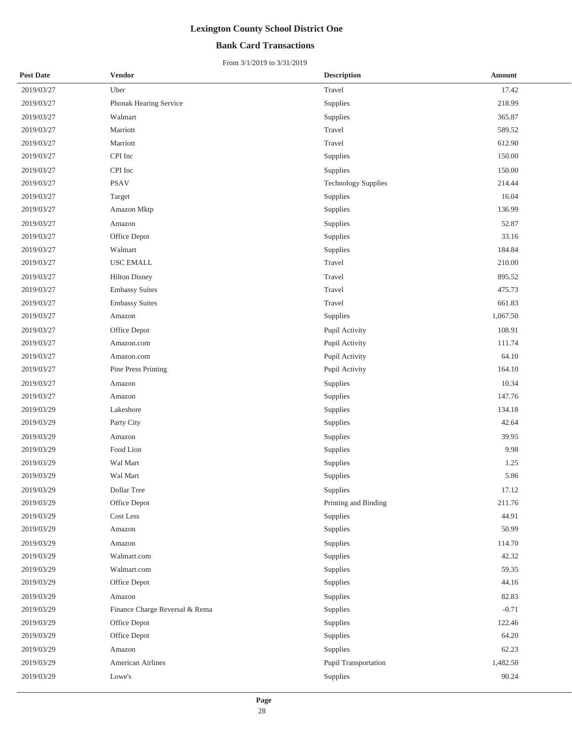## **Bank Card Transactions**

| <b>Post Date</b> | <b>Vendor</b>                  | <b>Description</b>         | Amount   |
|------------------|--------------------------------|----------------------------|----------|
| 2019/03/27       | Uber                           | Travel                     | 17.42    |
| 2019/03/27       | Phonak Hearing Service         | Supplies                   | 218.99   |
| 2019/03/27       | Walmart                        | Supplies                   | 365.87   |
| 2019/03/27       | Marriott                       | Travel                     | 589.52   |
| 2019/03/27       | Marriott                       | Travel                     | 612.90   |
| 2019/03/27       | CPI Inc                        | Supplies                   | 150.00   |
| 2019/03/27       | CPI Inc                        | Supplies                   | 150.00   |
| 2019/03/27       | <b>PSAV</b>                    | <b>Technology Supplies</b> | 214.44   |
| 2019/03/27       | Target                         | Supplies                   | 16.04    |
| 2019/03/27       | Amazon Mktp                    | Supplies                   | 136.99   |
| 2019/03/27       | Amazon                         | Supplies                   | 52.87    |
| 2019/03/27       | Office Depot                   | Supplies                   | 33.16    |
| 2019/03/27       | Walmart                        | Supplies                   | 184.84   |
| 2019/03/27       | USC EMALL                      | Travel                     | 210.00   |
| 2019/03/27       | <b>Hilton Disney</b>           | Travel                     | 895.52   |
| 2019/03/27       | <b>Embassy Suites</b>          | Travel                     | 475.73   |
| 2019/03/27       | <b>Embassy Suites</b>          | Travel                     | 661.83   |
| 2019/03/27       | Amazon                         | Supplies                   | 1,067.50 |
| 2019/03/27       | Office Depot                   | Pupil Activity             | 108.91   |
| 2019/03/27       | Amazon.com                     | Pupil Activity             | 111.74   |
| 2019/03/27       | Amazon.com                     | Pupil Activity             | 64.10    |
| 2019/03/27       | Pine Press Printing            | Pupil Activity             | 164.10   |
| 2019/03/27       | Amazon                         | Supplies                   | 10.34    |
| 2019/03/27       | Amazon                         | Supplies                   | 147.76   |
| 2019/03/29       | Lakeshore                      | Supplies                   | 134.18   |
| 2019/03/29       | Party City                     | Supplies                   | 42.64    |
| 2019/03/29       | Amazon                         | Supplies                   | 39.95    |
| 2019/03/29       | Food Lion                      | Supplies                   | 9.98     |
| 2019/03/29       | Wal Mart                       | Supplies                   | 1.25     |
| 2019/03/29       | Wal Mart                       | Supplies                   | 5.86     |
| 2019/03/29       | Dollar Tree                    | Supplies                   | 17.12    |
| 2019/03/29       | Office Depot                   | Printing and Binding       | 211.76   |
| 2019/03/29       | Cost Less                      | Supplies                   | 44.91    |
| 2019/03/29       | Amazon                         | Supplies                   | 50.99    |
| 2019/03/29       | Amazon                         | Supplies                   | 114.70   |
| 2019/03/29       | Walmart.com                    | Supplies                   | 42.32    |
| 2019/03/29       | Walmart.com                    | Supplies                   | 59.35    |
| 2019/03/29       | Office Depot                   | Supplies                   | 44.16    |
| 2019/03/29       | Amazon                         | Supplies                   | 82.83    |
| 2019/03/29       | Finance Charge Reversal & Rema | Supplies                   | $-0.71$  |
| 2019/03/29       | Office Depot                   | Supplies                   | 122.46   |
| 2019/03/29       | Office Depot                   | Supplies                   | 64.20    |
| 2019/03/29       | Amazon                         | Supplies                   | 62.23    |
| 2019/03/29       | American Airlines              | Pupil Transportation       | 1,482.50 |
| 2019/03/29       | Lowe's                         | Supplies                   | 90.24    |
|                  |                                |                            |          |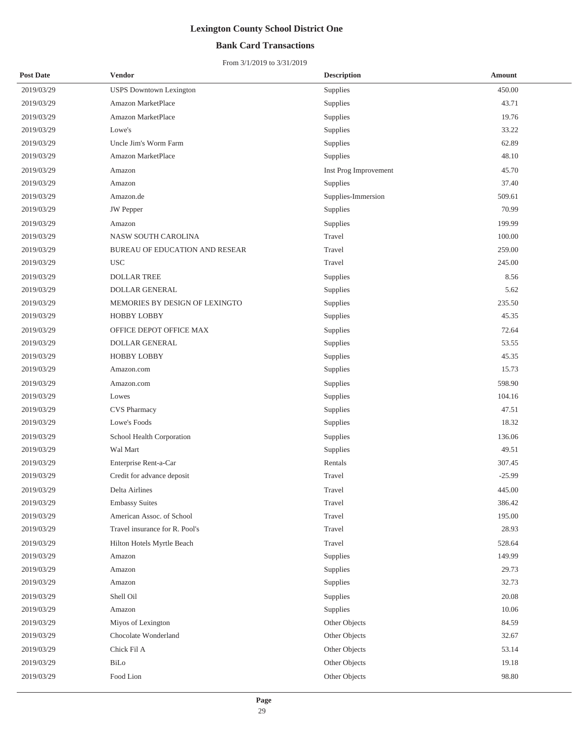## **Bank Card Transactions**

| <b>Post Date</b> | Vendor                         | <b>Description</b>    | <b>Amount</b> |
|------------------|--------------------------------|-----------------------|---------------|
| 2019/03/29       | <b>USPS</b> Downtown Lexington | Supplies              | 450.00        |
| 2019/03/29       | Amazon MarketPlace             | Supplies              | 43.71         |
| 2019/03/29       | Amazon MarketPlace             | Supplies              | 19.76         |
| 2019/03/29       | Lowe's                         | Supplies              | 33.22         |
| 2019/03/29       | Uncle Jim's Worm Farm          | Supplies              | 62.89         |
| 2019/03/29       | Amazon MarketPlace             | Supplies              | 48.10         |
| 2019/03/29       | Amazon                         | Inst Prog Improvement | 45.70         |
| 2019/03/29       | Amazon                         | Supplies              | 37.40         |
| 2019/03/29       | Amazon.de                      | Supplies-Immersion    | 509.61        |
| 2019/03/29       | JW Pepper                      | Supplies              | 70.99         |
| 2019/03/29       | Amazon                         | Supplies              | 199.99        |
| 2019/03/29       | NASW SOUTH CAROLINA            | Travel                | 100.00        |
| 2019/03/29       | BUREAU OF EDUCATION AND RESEAR | Travel                | 259.00        |
| 2019/03/29       | <b>USC</b>                     | Travel                | 245.00        |
| 2019/03/29       | <b>DOLLAR TREE</b>             | Supplies              | 8.56          |
| 2019/03/29       | <b>DOLLAR GENERAL</b>          | Supplies              | 5.62          |
| 2019/03/29       | MEMORIES BY DESIGN OF LEXINGTO | Supplies              | 235.50        |
| 2019/03/29       | HOBBY LOBBY                    | Supplies              | 45.35         |
| 2019/03/29       | OFFICE DEPOT OFFICE MAX        | Supplies              | 72.64         |
| 2019/03/29       | DOLLAR GENERAL                 | Supplies              | 53.55         |
| 2019/03/29       | <b>HOBBY LOBBY</b>             | Supplies              | 45.35         |
| 2019/03/29       | Amazon.com                     | Supplies              | 15.73         |
| 2019/03/29       | Amazon.com                     | Supplies              | 598.90        |
| 2019/03/29       | Lowes                          | Supplies              | 104.16        |
| 2019/03/29       | <b>CVS Pharmacy</b>            | Supplies              | 47.51         |
| 2019/03/29       | Lowe's Foods                   | Supplies              | 18.32         |
| 2019/03/29       | School Health Corporation      | Supplies              | 136.06        |
| 2019/03/29       | Wal Mart                       | Supplies              | 49.51         |
| 2019/03/29       | Enterprise Rent-a-Car          | Rentals               | 307.45        |
| 2019/03/29       | Credit for advance deposit     | Travel                | $-25.99$      |
| 2019/03/29       | Delta Airlines                 | Travel                | 445.00        |
| 2019/03/29       | <b>Embassy Suites</b>          | Travel                | 386.42        |
| 2019/03/29       | American Assoc. of School      | Travel                | 195.00        |
| 2019/03/29       | Travel insurance for R. Pool's | Travel                | 28.93         |
| 2019/03/29       | Hilton Hotels Myrtle Beach     | Travel                | 528.64        |
| 2019/03/29       | Amazon                         | Supplies              | 149.99        |
| 2019/03/29       | Amazon                         | Supplies              | 29.73         |
| 2019/03/29       | Amazon                         | Supplies              | 32.73         |
| 2019/03/29       | Shell Oil                      | Supplies              | 20.08         |
| 2019/03/29       | Amazon                         | Supplies              | 10.06         |
| 2019/03/29       | Miyos of Lexington             | Other Objects         | 84.59         |
| 2019/03/29       | Chocolate Wonderland           | Other Objects         | 32.67         |
| 2019/03/29       | Chick Fil A                    | Other Objects         | 53.14         |
| 2019/03/29       | BiLo                           | Other Objects         | 19.18         |
| 2019/03/29       | Food Lion                      | Other Objects         | 98.80         |
|                  |                                |                       |               |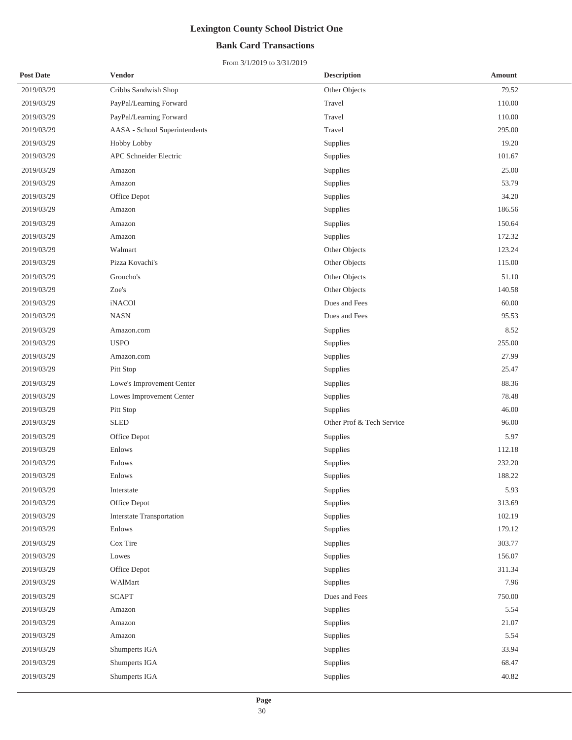## **Bank Card Transactions**

| <b>Post Date</b> | Vendor                           | <b>Description</b>        | <b>Amount</b> |
|------------------|----------------------------------|---------------------------|---------------|
| 2019/03/29       | Cribbs Sandwish Shop             | Other Objects             | 79.52         |
| 2019/03/29       | PayPal/Learning Forward          | Travel                    | 110.00        |
| 2019/03/29       | PayPal/Learning Forward          | Travel                    | 110.00        |
| 2019/03/29       | AASA - School Superintendents    | Travel                    | 295.00        |
| 2019/03/29       | Hobby Lobby                      | Supplies                  | 19.20         |
| 2019/03/29       | APC Schneider Electric           | Supplies                  | 101.67        |
| 2019/03/29       | Amazon                           | Supplies                  | 25.00         |
| 2019/03/29       | Amazon                           | Supplies                  | 53.79         |
| 2019/03/29       | Office Depot                     | Supplies                  | 34.20         |
| 2019/03/29       | Amazon                           | Supplies                  | 186.56        |
| 2019/03/29       | Amazon                           | Supplies                  | 150.64        |
| 2019/03/29       | Amazon                           | Supplies                  | 172.32        |
| 2019/03/29       | Walmart                          | Other Objects             | 123.24        |
| 2019/03/29       | Pizza Kovachi's                  | Other Objects             | 115.00        |
| 2019/03/29       | Groucho's                        | Other Objects             | 51.10         |
| 2019/03/29       | Zoe's                            | Other Objects             | 140.58        |
| 2019/03/29       | iNACO1                           | Dues and Fees             | 60.00         |
| 2019/03/29       | <b>NASN</b>                      | Dues and Fees             | 95.53         |
| 2019/03/29       | Amazon.com                       | Supplies                  | 8.52          |
| 2019/03/29       | <b>USPO</b>                      | Supplies                  | 255.00        |
| 2019/03/29       | Amazon.com                       | Supplies                  | 27.99         |
| 2019/03/29       | Pitt Stop                        | Supplies                  | 25.47         |
| 2019/03/29       | Lowe's Improvement Center        | Supplies                  | 88.36         |
| 2019/03/29       | Lowes Improvement Center         | Supplies                  | 78.48         |
| 2019/03/29       | Pitt Stop                        | Supplies                  | 46.00         |
| 2019/03/29       | <b>SLED</b>                      | Other Prof & Tech Service | 96.00         |
| 2019/03/29       | Office Depot                     | Supplies                  | 5.97          |
| 2019/03/29       | Enlows                           | Supplies                  | 112.18        |
| 2019/03/29       | Enlows                           | Supplies                  | 232.20        |
| 2019/03/29       | Enlows                           | Supplies                  | 188.22        |
| 2019/03/29       | Interstate                       | Supplies                  | 5.93          |
| 2019/03/29       | Office Depot                     | Supplies                  | 313.69        |
| 2019/03/29       | <b>Interstate Transportation</b> | Supplies                  | 102.19        |
| 2019/03/29       | Enlows                           | Supplies                  | 179.12        |
| 2019/03/29       | Cox Tire                         | Supplies                  | 303.77        |
| 2019/03/29       | Lowes                            | Supplies                  | 156.07        |
| 2019/03/29       | Office Depot                     | Supplies                  | 311.34        |
| 2019/03/29       | WAlMart                          | Supplies                  | 7.96          |
| 2019/03/29       | <b>SCAPT</b>                     | Dues and Fees             | 750.00        |
| 2019/03/29       | Amazon                           | Supplies                  | 5.54          |
| 2019/03/29       | Amazon                           | Supplies                  | 21.07         |
| 2019/03/29       | Amazon                           | Supplies                  | 5.54          |
| 2019/03/29       | Shumperts IGA                    | Supplies                  | 33.94         |
| 2019/03/29       | Shumperts IGA                    | Supplies                  | 68.47         |
| 2019/03/29       | Shumperts IGA                    | Supplies                  | 40.82         |
|                  |                                  |                           |               |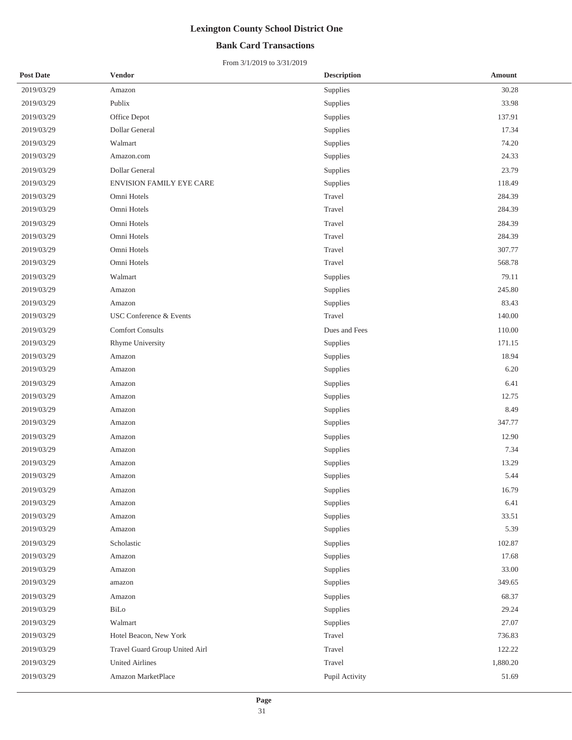## **Bank Card Transactions**

| <b>Post Date</b> | <b>Vendor</b>                  | <b>Description</b> | <b>Amount</b> |
|------------------|--------------------------------|--------------------|---------------|
| 2019/03/29       | Amazon                         | Supplies           | 30.28         |
| 2019/03/29       | Publix                         | Supplies           | 33.98         |
| 2019/03/29       | Office Depot                   | Supplies           | 137.91        |
| 2019/03/29       | Dollar General                 | Supplies           | 17.34         |
| 2019/03/29       | Walmart                        | Supplies           | 74.20         |
| 2019/03/29       | Amazon.com                     | Supplies           | 24.33         |
| 2019/03/29       | Dollar General                 | Supplies           | 23.79         |
| 2019/03/29       | ENVISION FAMILY EYE CARE       | Supplies           | 118.49        |
| 2019/03/29       | Omni Hotels                    | Travel             | 284.39        |
| 2019/03/29       | Omni Hotels                    | Travel             | 284.39        |
| 2019/03/29       | Omni Hotels                    | Travel             | 284.39        |
| 2019/03/29       | Omni Hotels                    | Travel             | 284.39        |
| 2019/03/29       | Omni Hotels                    | Travel             | 307.77        |
| 2019/03/29       | Omni Hotels                    | Travel             | 568.78        |
| 2019/03/29       | Walmart                        | Supplies           | 79.11         |
| 2019/03/29       | Amazon                         | Supplies           | 245.80        |
| 2019/03/29       | Amazon                         | Supplies           | 83.43         |
| 2019/03/29       | USC Conference & Events        | Travel             | 140.00        |
| 2019/03/29       | <b>Comfort Consults</b>        | Dues and Fees      | 110.00        |
| 2019/03/29       | Rhyme University               | Supplies           | 171.15        |
| 2019/03/29       | Amazon                         | Supplies           | 18.94         |
| 2019/03/29       | Amazon                         | Supplies           | 6.20          |
| 2019/03/29       | Amazon                         | Supplies           | 6.41          |
| 2019/03/29       | Amazon                         | Supplies           | 12.75         |
| 2019/03/29       | Amazon                         | Supplies           | 8.49          |
| 2019/03/29       | Amazon                         | Supplies           | 347.77        |
| 2019/03/29       | Amazon                         | Supplies           | 12.90         |
| 2019/03/29       | Amazon                         | Supplies           | 7.34          |
| 2019/03/29       | Amazon                         | Supplies           | 13.29         |
| 2019/03/29       | Amazon                         | Supplies           | 5.44          |
| 2019/03/29       | Amazon                         | Supplies           | 16.79         |
| 2019/03/29       | Amazon                         | Supplies           | 6.41          |
| 2019/03/29       | Amazon                         | Supplies           | 33.51         |
| 2019/03/29       | Amazon                         | Supplies           | 5.39          |
| 2019/03/29       | Scholastic                     | Supplies           | 102.87        |
| 2019/03/29       | Amazon                         | Supplies           | 17.68         |
| 2019/03/29       | Amazon                         | Supplies           | 33.00         |
| 2019/03/29       | amazon                         | Supplies           | 349.65        |
| 2019/03/29       | Amazon                         | Supplies           | 68.37         |
| 2019/03/29       | BiLo                           | Supplies           | 29.24         |
| 2019/03/29       | Walmart                        | Supplies           | 27.07         |
| 2019/03/29       | Hotel Beacon, New York         | Travel             | 736.83        |
| 2019/03/29       | Travel Guard Group United Airl | Travel             | 122.22        |
| 2019/03/29       | <b>United Airlines</b>         | Travel             | 1,880.20      |
| 2019/03/29       | Amazon MarketPlace             | Pupil Activity     | 51.69         |
|                  |                                |                    |               |